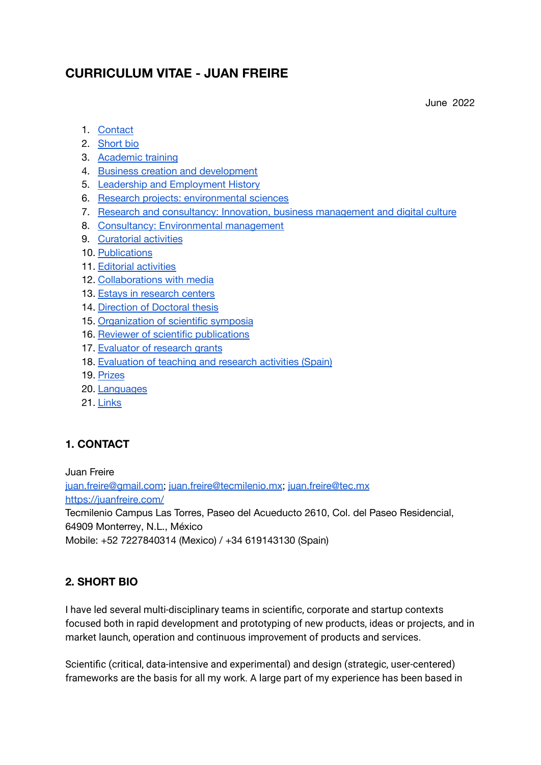# **CURRICULUM VITAE - JUAN FREIRE**

June 2022

- 1. [Contact](#page-0-0)
- 2. [Short](#page-0-1) bio
- 3. [Academic](#page-1-0) training
- 4. Business creation and [development](#page-1-1)
- 5. Leadership and [Employment](#page-2-0) History
- 6. Research projects: [environmental](#page-3-0) sciences
- 7. Research and consultancy: Innovation, business [management](#page-8-0) and digital culture
- 8. Consultancy: [Environmental](#page-10-0) management
- 9. [Curatorial](#page-13-0) activities
- 10. [Publications](#page-13-1)
- 11. Editorial [activities](#page-36-0)
- 12. [Collaborations](#page-37-0) with media
- 13. Estays in [research](#page-38-0) centers
- 14. [Direction](#page-38-1) of Doctoral thesis
- 15. [Organization](#page-40-0) of scientific symposia
- 16. Reviewer of scientific [publications](#page-40-1)
- 17. [Evaluator](#page-41-0) of research grants
- 18. [Evaluation](#page-41-1) of teaching and research activities (Spain)
- 19. [Prizes](#page-42-0)
- 20. [Languages](#page-42-1)
- 21. [Links](#page-42-2)

### <span id="page-0-0"></span>**1. CONTACT**

Juan Freire [juan.freire@gmail.com;](mailto:juan.freire@gmail.com) [juan.freire@tecmilenio.mx](mailto:juan.freire@tecmilenio.mx); [juan.freire@tec.mx](mailto:juan.freire@tec.mx) <https://juanfreire.com/> Tecmilenio Campus Las Torres, Paseo del Acueducto 2610, Col. del Paseo Residencial, 64909 Monterrey, N.L., México Mobile: +52 7227840314 (Mexico) / +34 619143130 (Spain)

### <span id="page-0-1"></span>**2. SHORT BIO**

I have led several multi-disciplinary teams in scientific, corporate and startup contexts focused both in rapid development and prototyping of new products, ideas or projects, and in market launch, operation and continuous improvement of products and services.

Scientific (critical, data-intensive and experimental) and design (strategic, user-centered) frameworks are the basis for all my work. A large part of my experience has been based in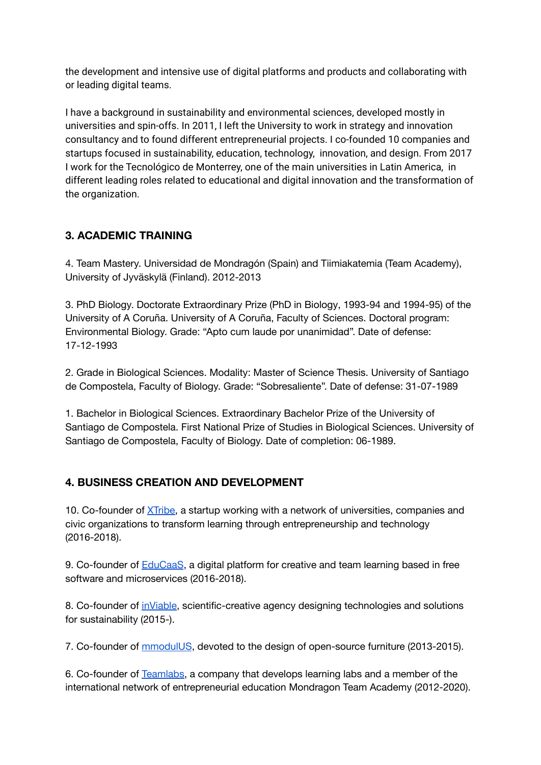the development and intensive use of digital platforms and products and collaborating with or leading digital teams.

I have a background in sustainability and environmental sciences, developed mostly in universities and spin-offs. In 2011, I left the University to work in strategy and innovation consultancy and to found different entrepreneurial projects. I co-founded 10 companies and startups focused in sustainability, education, technology, innovation, and design. From 2017 I work for the Tecnológico de Monterrey, one of the main universities in Latin America, in different leading roles related to educational and digital innovation and the transformation of the organization.

# <span id="page-1-0"></span>**3. ACADEMIC TRAINING**

4. Team Mastery. Universidad de Mondragón (Spain) and Tiimiakatemia (Team Academy), University of Jyväskylä (Finland). 2012-2013

3. PhD Biology. Doctorate Extraordinary Prize (PhD in Biology, 1993-94 and 1994-95) of the University of A Coruña. University of A Coruña, Faculty of Sciences. Doctoral program: Environmental Biology. Grade: "Apto cum laude por unanimidad". Date of defense: 17-12-1993

2. Grade in Biological Sciences. Modality: Master of Science Thesis. University of Santiago de Compostela, Faculty of Biology. Grade: "Sobresaliente". Date of defense: 31-07-1989

1. Bachelor in Biological Sciences. Extraordinary Bachelor Prize of the University of Santiago de Compostela. First National Prize of Studies in Biological Sciences. University of Santiago de Compostela, Faculty of Biology. Date of completion: 06-1989.

### <span id="page-1-1"></span>**4. BUSINESS CREATION AND DEVELOPMENT**

10. Co-founder of [XTribe,](http://www.xtribe.university/) a startup working with a network of universities, companies and civic organizations to transform learning through entrepreneurship and technology (2016-2018).

9. Co-founder of **[EduCaaS](http://www.educaas.io/)**, a digital platform for creative and team learning based in free software and microservices (2016-2018).

8. Co-founder of [inViable,](http://www.inviable.is/) scientific-creative agency designing technologies and solutions for sustainability (2015-).

7. Co-founder of [mmodulUS](http://www.mmodulus.com/), devoted to the design of open-source furniture (2013-2015).

6. Co-founder of [Teamlabs](http://www.teamlabs.es/), a company that develops learning labs and a member of the international network of entrepreneurial education Mondragon Team Academy (2012-2020).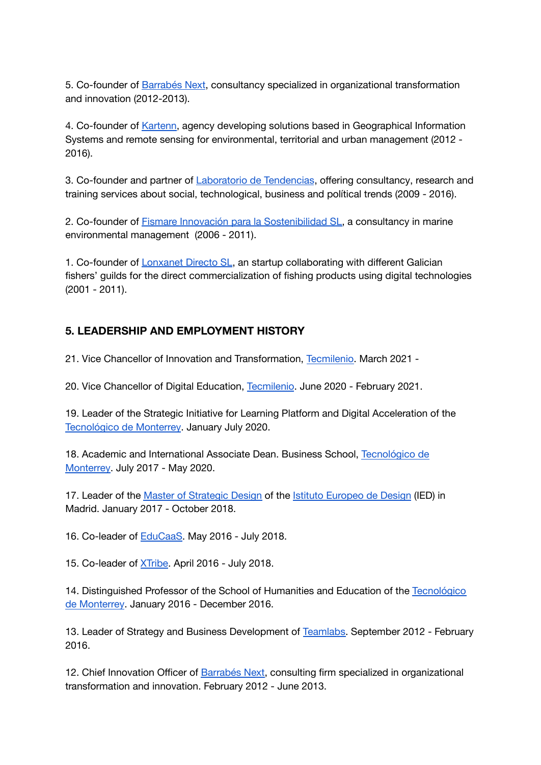5. Co-founder of [Barrabés](http://www.barrabesnext.com/) Next, consultancy specialized in organizational transformation and innovation (2012-2013).

4. Co-founder of [Kartenn,](http://www.kartenn.es/) agency developing solutions based in Geographical Information Systems and remote sensing for environmental, territorial and urban management (2012 - 2016).

3. Co-founder and partner of [Laboratorio](http://www.laboratoriodetendencias.com/) de Tendencias, offering consultancy, research and training services about social, technological, business and polítical trends (2009 - 2016).

2. Co-founder of Fismare Innovación para la [Sostenibilidad](http://www.fismare.com/) SL, a consultancy in marine environmental management (2006 - 2011).

1. Co-founder of [Lonxanet](http://www.lonxanet.com/) Directo SL, an startup collaborating with different Galician fishers' guilds for the direct commercialization of fishing products using digital technologies (2001 - 2011).

# <span id="page-2-0"></span>**5. LEADERSHIP AND EMPLOYMENT HISTORY**

21. Vice Chancellor of Innovation and Transformation, [Tecmilenio.](https://www.tecmilenio.mx/) March 2021 -

20. Vice Chancellor of Digital Education, [Tecmilenio](https://www.tecmilenio.mx/). June 2020 - February 2021.

19. Leader of the Strategic Initiative for Learning Platform and Digital Acceleration of the [Tecnológico](http://www.tec.mx/) de Monterrey. January July 2020.

18. Academic and International Associate Dean. Business School, [Tecnológico](http://www.tec.mx/) de [Monterrey.](http://www.tec.mx/) July 2017 - May 2020.

17. Leader of the Master of [Strategic](http://www.apple.es) Design of the Istituto [Europeo](http://iedmadrid.com/) de Design (IED) in Madrid. January 2017 - October 2018.

16. Co-leader of [EduCaaS.](http://www.educaas.io/) May 2016 - July 2018.

15. Co-leader of [XTribe](http://www.xtribe.university/). April 2016 - July 2018.

14. Distinguished Professor of the School of Humanities and Education of the [Tecnológico](http://www.apple.es) de [Monterrey](http://www.apple.es). January 2016 - December 2016.

13. Leader of Strategy and Business Development of [Teamlabs.](http://www.teamlabs.es) September 2012 - February 2016.

12. Chief Innovation Officer of [Barrabés](http://www.barrabesnext.com/) Next, consulting firm specialized in organizational transformation and innovation. February 2012 - June 2013.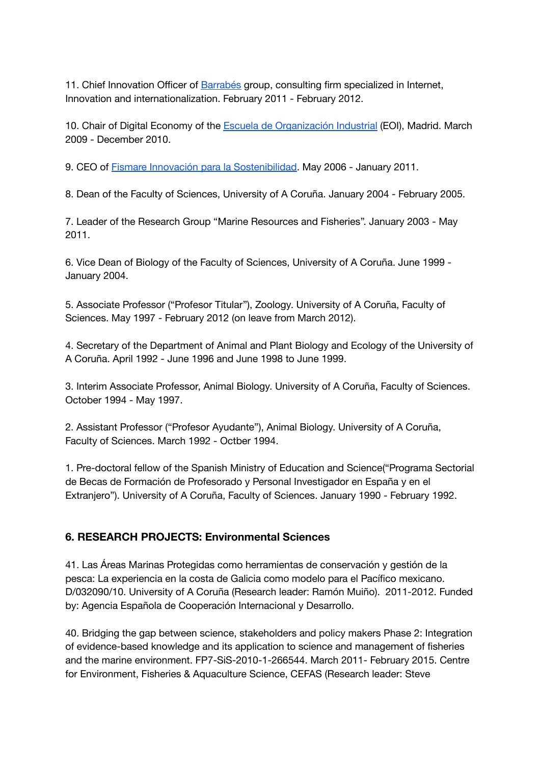11. Chief Innovation Officer of [Barrabés](http://www.barrabes.biz/) group, consulting firm specialized in Internet, Innovation and internationalization. February 2011 - February 2012.

10. Chair of Digital Economy of the Escuela de [Organización](http://www.eoi.es/) Industrial (EOI), Madrid. March 2009 - December 2010.

9. CEO of Fismare Innovación para la [Sostenibilidad](http://www.fismare.com/). May 2006 - January 2011.

8. Dean of the Faculty of Sciences, University of A Coruña. January 2004 - February 2005.

7. Leader of the Research Group "Marine Resources and Fisheries". January 2003 - May 2011.

6. Vice Dean of Biology of the Faculty of Sciences, University of A Coruña. June 1999 - January 2004.

5. Associate Professor ("Profesor Titular"), Zoology. University of A Coruña, Faculty of Sciences. May 1997 - February 2012 (on leave from March 2012).

4. Secretary of the Department of Animal and Plant Biology and Ecology of the University of A Coruña. April 1992 - June 1996 and June 1998 to June 1999.

3. Interim Associate Professor, Animal Biology. University of A Coruña, Faculty of Sciences. October 1994 - May 1997.

2. Assistant Professor ("Profesor Ayudante"), Animal Biology. University of A Coruña, Faculty of Sciences. March 1992 - Octber 1994.

1. Pre-doctoral fellow of the Spanish Ministry of Education and Science("Programa Sectorial de Becas de Formación de Profesorado y Personal Investigador en España y en el Extranjero"). University of A Coruña, Faculty of Sciences. January 1990 - February 1992.

#### <span id="page-3-0"></span>**6. RESEARCH PROJECTS: Environmental Sciences**

41. Las Áreas Marinas Protegidas como herramientas de conservación y gestión de la pesca: La experiencia en la costa de Galicia como modelo para el Pacífico mexicano. D/032090/10. University of A Coruña (Research leader: Ramón Muiño). 2011-2012. Funded by: Agencia Española de Cooperación Internacional y Desarrollo.

40. Bridging the gap between science, stakeholders and policy makers Phase 2: Integration of evidence-based knowledge and its application to science and management of fisheries and the marine environment. FP7-SiS-2010-1-266544. March 2011- February 2015. Centre for Environment, Fisheries & Aquaculture Science, CEFAS (Research leader: Steve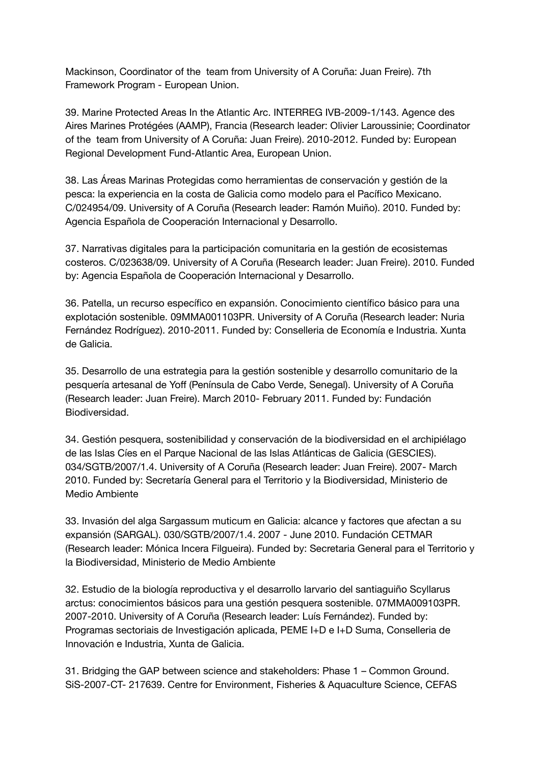Mackinson, Coordinator of the team from University of A Coruña: Juan Freire). 7th Framework Program - European Union.

39. Marine Protected Areas In the Atlantic Arc. INTERREG IVB-2009-1/143. Agence des Aires Marines Protégées (AAMP), Francia (Research leader: Olivier Laroussinie; Coordinator of the team from University of A Coruña: Juan Freire). 2010-2012. Funded by: European Regional Development Fund-Atlantic Area, European Union.

38. Las Áreas Marinas Protegidas como herramientas de conservación y gestión de la pesca: la experiencia en la costa de Galicia como modelo para el Pacífico Mexicano. C/024954/09. University of A Coruña (Research leader: Ramón Muiño). 2010. Funded by: Agencia Española de Cooperación Internacional y Desarrollo.

37. Narrativas digitales para la participación comunitaria en la gestión de ecosistemas costeros. C/023638/09. University of A Coruña (Research leader: Juan Freire). 2010. Funded by: Agencia Española de Cooperación Internacional y Desarrollo.

36. Patella, un recurso específico en expansión. Conocimiento científico básico para una explotación sostenible. 09MMA001103PR. University of A Coruña (Research leader: Nuria Fernández Rodríguez). 2010-2011. Funded by: Conselleria de Economía e Industria. Xunta de Galicia.

35. Desarrollo de una estrategia para la gestión sostenible y desarrollo comunitario de la pesquería artesanal de Yoff (Península de Cabo Verde, Senegal). University of A Coruña (Research leader: Juan Freire). March 2010- February 2011. Funded by: Fundación Biodiversidad.

34. Gestión pesquera, sostenibilidad y conservación de la biodiversidad en el archipiélago de las Islas Cíes en el Parque Nacional de las Islas Atlánticas de Galicia (GESCIES). 034/SGTB/2007/1.4. University of A Coruña (Research leader: Juan Freire). 2007- March 2010. Funded by: Secretaría General para el Territorio y la Biodiversidad, Ministerio de Medio Ambiente

33. Invasión del alga Sargassum muticum en Galicia: alcance y factores que afectan a su expansión (SARGAL). 030/SGTB/2007/1.4. 2007 - June 2010. Fundación CETMAR (Research leader: Mónica Incera Filgueira). Funded by: Secretaria General para el Territorio y la Biodiversidad, Ministerio de Medio Ambiente

32. Estudio de la biología reproductiva y el desarrollo larvario del santiaguiño Scyllarus arctus: conocimientos básicos para una gestión pesquera sostenible. 07MMA009103PR. 2007-2010. University of A Coruña (Research leader: Luís Fernández). Funded by: Programas sectoriais de Investigación aplicada, PEME I+D e I+D Suma, Conselleria de Innovación e Industria, Xunta de Galicia.

31. Bridging the GAP between science and stakeholders: Phase 1 – Common Ground. SiS-2007-CT- 217639. Centre for Environment, Fisheries & Aquaculture Science, CEFAS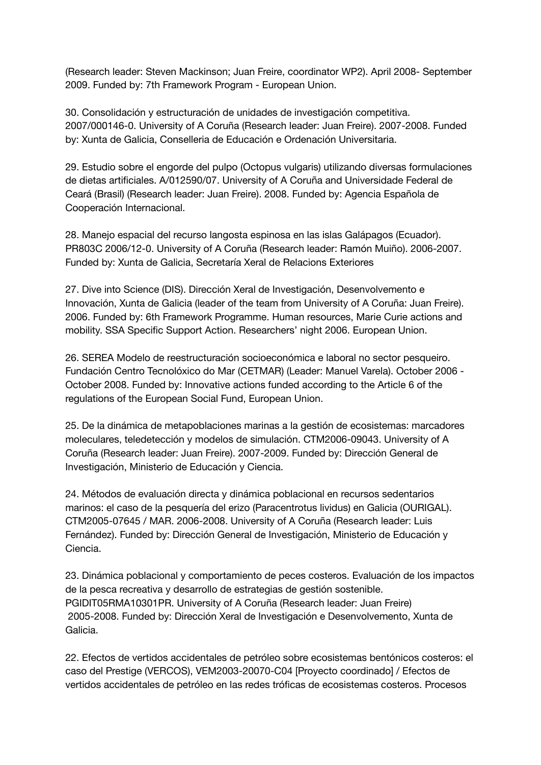(Research leader: Steven Mackinson; Juan Freire, coordinator WP2). April 2008- September 2009. Funded by: 7th Framework Program - European Union.

30. Consolidación y estructuración de unidades de investigación competitiva. 2007/000146-0. University of A Coruña (Research leader: Juan Freire). 2007-2008. Funded by: Xunta de Galicia, Conselleria de Educación e Ordenación Universitaria.

29. Estudio sobre el engorde del pulpo (Octopus vulgaris) utilizando diversas formulaciones de dietas artificiales. A/012590/07. University of A Coruña and Universidade Federal de Ceará (Brasil) (Research leader: Juan Freire). 2008. Funded by: Agencia Española de Cooperación Internacional.

28. Manejo espacial del recurso langosta espinosa en las islas Galápagos (Ecuador). PR803C 2006/12-0. University of A Coruña (Research leader: Ramón Muiño). 2006-2007. Funded by: Xunta de Galicia, Secretaría Xeral de Relacions Exteriores

27. Dive into Science (DIS). Dirección Xeral de Investigación, Desenvolvemento e Innovación, Xunta de Galicia (leader of the team from University of A Coruña: Juan Freire). 2006. Funded by: 6th Framework Programme. Human resources, Marie Curie actions and mobility. SSA Specific Support Action. Researchers' night 2006. European Union.

26. SEREA Modelo de reestructuración socioeconómica e laboral no sector pesqueiro. Fundación Centro Tecnolóxico do Mar (CETMAR) (Leader: Manuel Varela). October 2006 - October 2008. Funded by: Innovative actions funded according to the Article 6 of the regulations of the European Social Fund, European Union.

25. De la dinámica de metapoblaciones marinas a la gestión de ecosistemas: marcadores moleculares, teledetección y modelos de simulación. CTM2006-09043. University of A Coruña (Research leader: Juan Freire). 2007-2009. Funded by: Dirección General de Investigación, Ministerio de Educación y Ciencia.

24. Métodos de evaluación directa y dinámica poblacional en recursos sedentarios marinos: el caso de la pesquería del erizo (Paracentrotus lividus) en Galicia (OURIGAL). CTM2005-07645 / MAR. 2006-2008. University of A Coruña (Research leader: Luis Fernández). Funded by: Dirección General de Investigación, Ministerio de Educación y Ciencia.

23. Dinámica poblacional y comportamiento de peces costeros. Evaluación de los impactos de la pesca recreativa y desarrollo de estrategias de gestión sostenible. PGIDIT05RMA10301PR. University of A Coruña (Research leader: Juan Freire) 2005-2008. Funded by: Dirección Xeral de Investigación e Desenvolvemento, Xunta de Galicia.

22. Efectos de vertidos accidentales de petróleo sobre ecosistemas bentónicos costeros: el caso del Prestige (VERCOS), VEM2003-20070-C04 [Proyecto coordinado] / Efectos de vertidos accidentales de petróleo en las redes tróficas de ecosistemas costeros. Procesos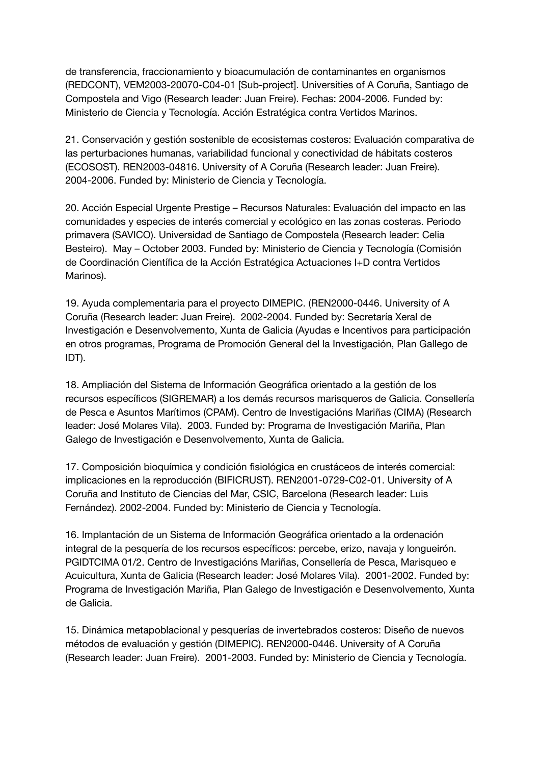de transferencia, fraccionamiento y bioacumulación de contaminantes en organismos (REDCONT), VEM2003-20070-C04-01 [Sub-project]. Universities of A Coruña, Santiago de Compostela and Vigo (Research leader: Juan Freire). Fechas: 2004-2006. Funded by: Ministerio de Ciencia y Tecnología. Acción Estratégica contra Vertidos Marinos.

21. Conservación y gestión sostenible de ecosistemas costeros: Evaluación comparativa de las perturbaciones humanas, variabilidad funcional y conectividad de hábitats costeros (ECOSOST). REN2003-04816. University of A Coruña (Research leader: Juan Freire). 2004-2006. Funded by: Ministerio de Ciencia y Tecnología.

20. Acción Especial Urgente Prestige – Recursos Naturales: Evaluación del impacto en las comunidades y especies de interés comercial y ecológico en las zonas costeras. Periodo primavera (SAVICO). Universidad de Santiago de Compostela (Research leader: Celia Besteiro). May – October 2003. Funded by: Ministerio de Ciencia y Tecnología (Comisión de Coordinación Científica de la Acción Estratégica Actuaciones I+D contra Vertidos Marinos).

19. Ayuda complementaria para el proyecto DIMEPIC. (REN2000-0446. University of A Coruña (Research leader: Juan Freire). 2002-2004. Funded by: Secretaría Xeral de Investigación e Desenvolvemento, Xunta de Galicia (Ayudas e Incentivos para participación en otros programas, Programa de Promoción General del la Investigación, Plan Gallego de IDT).

18. Ampliación del Sistema de Información Geográfica orientado a la gestión de los recursos específicos (SIGREMAR) a los demás recursos marisqueros de Galicia. Consellería de Pesca e Asuntos Marítimos (CPAM). Centro de Investigacións Mariñas (CIMA) (Research leader: José Molares Vila). 2003. Funded by: Programa de Investigación Mariña, Plan Galego de Investigación e Desenvolvemento, Xunta de Galicia.

17. Composición bioquímica y condición fisiológica en crustáceos de interés comercial: implicaciones en la reproducción (BIFICRUST). REN2001-0729-C02-01. University of A Coruña and Instituto de Ciencias del Mar, CSIC, Barcelona (Research leader: Luis Fernández). 2002-2004. Funded by: Ministerio de Ciencia y Tecnología.

16. Implantación de un Sistema de Información Geográfica orientado a la ordenación integral de la pesquería de los recursos específicos: percebe, erizo, navaja y longueirón. PGIDTCIMA 01/2. Centro de Investigacións Mariñas, Consellería de Pesca, Marisqueo e Acuicultura, Xunta de Galicia (Research leader: José Molares Vila). 2001-2002. Funded by: Programa de Investigación Mariña, Plan Galego de Investigación e Desenvolvemento, Xunta de Galicia.

15. Dinámica metapoblacional y pesquerías de invertebrados costeros: Diseño de nuevos métodos de evaluación y gestión (DIMEPIC). REN2000-0446. University of A Coruña (Research leader: Juan Freire). 2001-2003. Funded by: Ministerio de Ciencia y Tecnología.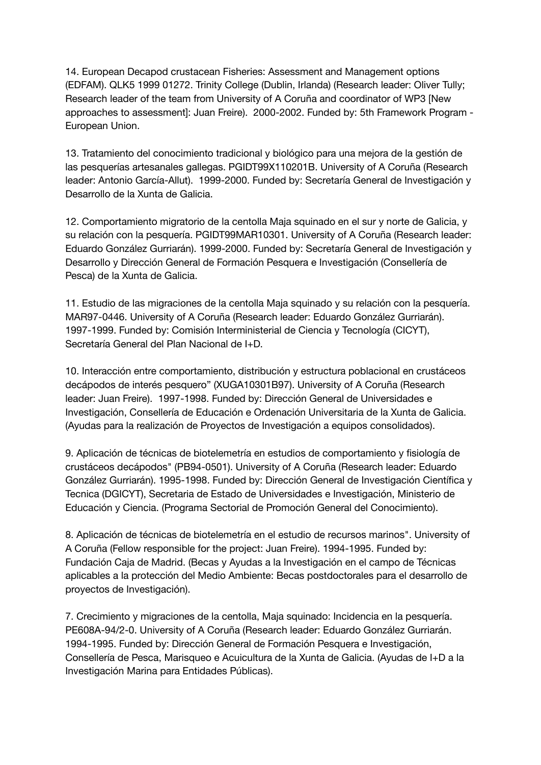14. European Decapod crustacean Fisheries: Assessment and Management options (EDFAM). QLK5 1999 01272. Trinity College (Dublin, Irlanda) (Research leader: Oliver Tully; Research leader of the team from University of A Coruña and coordinator of WP3 [New approaches to assessment]: Juan Freire). 2000-2002. Funded by: 5th Framework Program - European Union.

13. Tratamiento del conocimiento tradicional y biológico para una mejora de la gestión de las pesquerías artesanales gallegas. PGIDT99X110201B. University of A Coruña (Research leader: Antonio García-Allut). 1999-2000. Funded by: Secretaría General de Investigación y Desarrollo de la Xunta de Galicia.

12. Comportamiento migratorio de la centolla Maja squinado en el sur y norte de Galicia, y su relación con la pesquería. PGIDT99MAR10301. University of A Coruña (Research leader: Eduardo González Gurriarán). 1999-2000. Funded by: Secretaría General de Investigación y Desarrollo y Dirección General de Formación Pesquera e Investigación (Consellería de Pesca) de la Xunta de Galicia.

11. Estudio de las migraciones de la centolla Maja squinado y su relación con la pesquería. MAR97-0446. University of A Coruña (Research leader: Eduardo González Gurriarán). 1997-1999. Funded by: Comisión Interministerial de Ciencia y Tecnología (CICYT), Secretaría General del Plan Nacional de I+D.

10. Interacción entre comportamiento, distribución y estructura poblacional en crustáceos decápodos de interés pesquero" (XUGA10301B97). University of A Coruña (Research leader: Juan Freire). 1997-1998. Funded by: Dirección General de Universidades e Investigación, Consellería de Educación e Ordenación Universitaria de la Xunta de Galicia. (Ayudas para la realización de Proyectos de Investigación a equipos consolidados).

9. Aplicación de técnicas de biotelemetría en estudios de comportamiento y fisiología de crustáceos decápodos" (PB94-0501). University of A Coruña (Research leader: Eduardo González Gurriarán). 1995-1998. Funded by: Dirección General de Investigación Científica y Tecnica (DGICYT), Secretaria de Estado de Universidades e Investigación, Ministerio de Educación y Ciencia. (Programa Sectorial de Promoción General del Conocimiento).

8. Aplicación de técnicas de biotelemetría en el estudio de recursos marinos". University of A Coruña (Fellow responsible for the project: Juan Freire). 1994-1995. Funded by: Fundación Caja de Madrid. (Becas y Ayudas a la Investigación en el campo de Técnicas aplicables a la protección del Medio Ambiente: Becas postdoctorales para el desarrollo de proyectos de Investigación).

7. Crecimiento y migraciones de la centolla, Maja squinado: Incidencia en la pesquería. PE608A-94/2-0. University of A Coruña (Research leader: Eduardo González Gurriarán. 1994-1995. Funded by: Dirección General de Formación Pesquera e Investigación, Consellería de Pesca, Marisqueo e Acuicultura de la Xunta de Galicia. (Ayudas de I+D a la Investigación Marina para Entidades Públicas).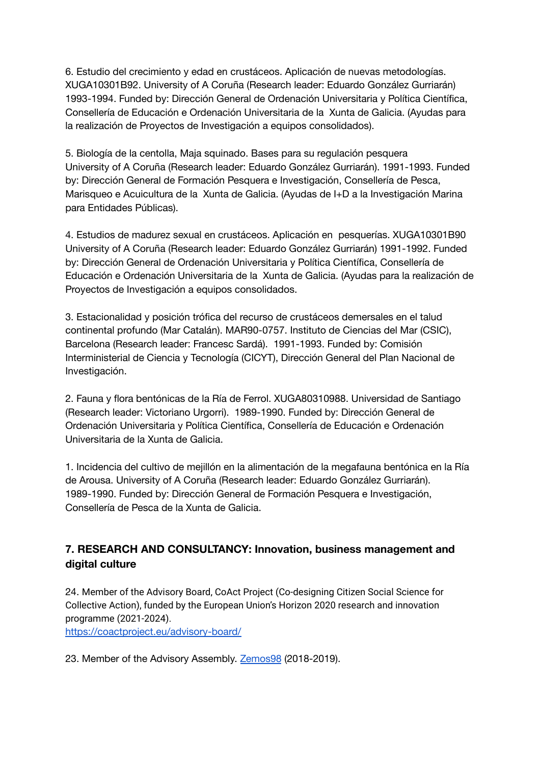6. Estudio del crecimiento y edad en crustáceos. Aplicación de nuevas metodologías. XUGA10301B92. University of A Coruña (Research leader: Eduardo González Gurriarán) 1993-1994. Funded by: Dirección General de Ordenación Universitaria y Política Científica, Consellería de Educación e Ordenación Universitaria de la Xunta de Galicia. (Ayudas para la realización de Proyectos de Investigación a equipos consolidados).

5. Biología de la centolla, Maja squinado. Bases para su regulación pesquera University of A Coruña (Research leader: Eduardo González Gurriarán). 1991-1993. Funded by: Dirección General de Formación Pesquera e Investigación, Consellería de Pesca, Marisqueo e Acuicultura de la Xunta de Galicia. (Ayudas de I+D a la Investigación Marina para Entidades Públicas).

4. Estudios de madurez sexual en crustáceos. Aplicación en pesquerías. XUGA10301B90 University of A Coruña (Research leader: Eduardo González Gurriarán) 1991-1992. Funded by: Dirección General de Ordenación Universitaria y Política Científica, Consellería de Educación e Ordenación Universitaria de la Xunta de Galicia. (Ayudas para la realización de Proyectos de Investigación a equipos consolidados.

3. Estacionalidad y posición trófica del recurso de crustáceos demersales en el talud continental profundo (Mar Catalán). MAR90-0757. Instituto de Ciencias del Mar (CSIC), Barcelona (Research leader: Francesc Sardá). 1991-1993. Funded by: Comisión Interministerial de Ciencia y Tecnología (CICYT), Dirección General del Plan Nacional de Investigación.

2. Fauna y flora bentónicas de la Ría de Ferrol. XUGA80310988. Universidad de Santiago (Research leader: Victoriano Urgorri). 1989-1990. Funded by: Dirección General de Ordenación Universitaria y Política Científica, Consellería de Educación e Ordenación Universitaria de la Xunta de Galicia.

1. Incidencia del cultivo de mejillón en la alimentación de la megafauna bentónica en la Ría de Arousa. University of A Coruña (Research leader: Eduardo González Gurriarán). 1989-1990. Funded by: Dirección General de Formación Pesquera e Investigación, Consellería de Pesca de la Xunta de Galicia.

# <span id="page-8-0"></span>**7. RESEARCH AND CONSULTANCY: Innovation, business management and digital culture**

24. Member of the Advisory Board, CoAct Project (Co-designing Citizen Social Science for Collective Action), funded by the European Union's Horizon 2020 research and innovation programme (2021-2024).

<https://coactproject.eu/advisory-board/>

23. Member of the Advisory Assembly. [Zemos98](https://zemos98.org/) (2018-2019).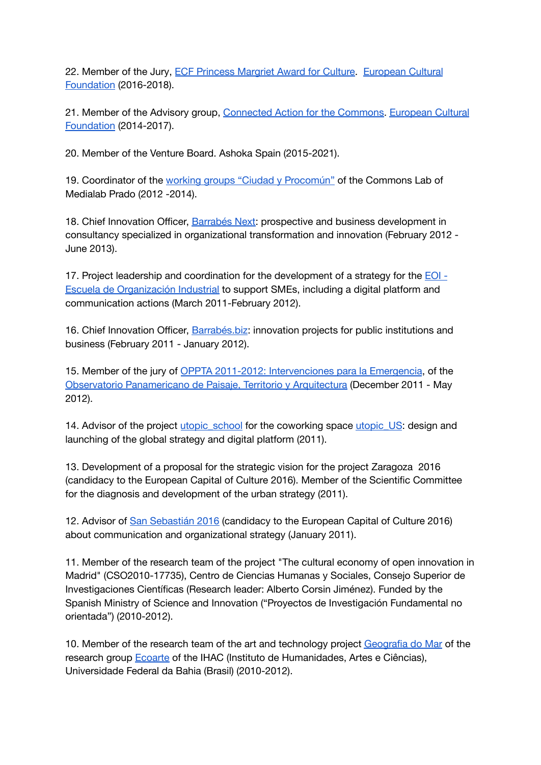22. Member of the Jury, ECF [Princess](https://culturalfoundation.eu/activities/ecf-princess-margriet-award-for-culture) Margriet Award for Culture. [European](https://culturalfoundation.eu/) Cultural [Foundation](https://culturalfoundation.eu/) (2016-2018).

21. Member of the Advisory group, [Connected](https://culturalfoundation.eu/activities/connected-action-for-the-commons) Action for the Commons. [European](https://culturalfoundation.eu/) Cultural [Foundation](https://culturalfoundation.eu/) (2014-2017).

20. Member of the Venture Board. Ashoka Spain (2015-2021).

19. Coordinator of the working groups "Ciudad y [Procomún"](http://medialab-prado.es/article/ciudad_procomun) of the Commons Lab of Medialab Prado (2012 -2014).

18. Chief Innovation Officer, [Barrabés](http://www.barrabesnext.com/) Next: prospective and business development in consultancy specialized in organizational transformation and innovation (February 2012 - June 2013).

17. Project leadership and coordination for the development of a strategy for the [EOI](http://www.eoi.es/) - Escuela de [Organización](http://www.eoi.es/) Industrial to support SMEs, including a digital platform and communication actions (March 2011-February 2012).

16. Chief Innovation Officer, [Barrabés.biz:](http://www.barrabes.biz/) innovation projects for public institutions and business (February 2011 - January 2012).

15. Member of the jury of OPPTA 2011-2012: [Intervenciones](http://concurso.oppta.org/es/concurso/) para la Emergencia, of the Observatorio [Panamericano](http://www.observatoriopanamericano.org/es) de Paisaje, Territorio y Arquitectura (December 2011 - May 2012).

14. Advisor of the project utopic school for the coworking space utopic US: design and launching of the global strategy and digital platform (2011).

13. Development of a proposal for the strategic vision for the project Zaragoza 2016 (candidacy to the European Capital of Culture 2016). Member of the Scientific Committee for the diagnosis and development of the urban strategy (2011).

12. Advisor of San [Sebastián](http://www.sansebastian2016.eu/) 2016 (candidacy to the European Capital of Culture 2016) about communication and organizational strategy (January 2011).

11. Member of the research team of the project "The cultural economy of open innovation in Madrid" (CSO2010-17735), Centro de Ciencias Humanas y Sociales, Consejo Superior de Investigaciones Científicas (Research leader: Alberto Corsin Jiménez). Funded by the Spanish Ministry of Science and Innovation ("Proyectos de Investigación Fundamental no orientada") (2010-2012).

10. Member of the research team of the art and technology project [Geografia](http://ecoarte.info/geomar/) do Mar of the research group [Ecoarte](http://www.ecoarte.info/) of the IHAC (Instituto de Humanidades, Artes e Ciências), Universidade Federal da Bahia (Brasil) (2010-2012).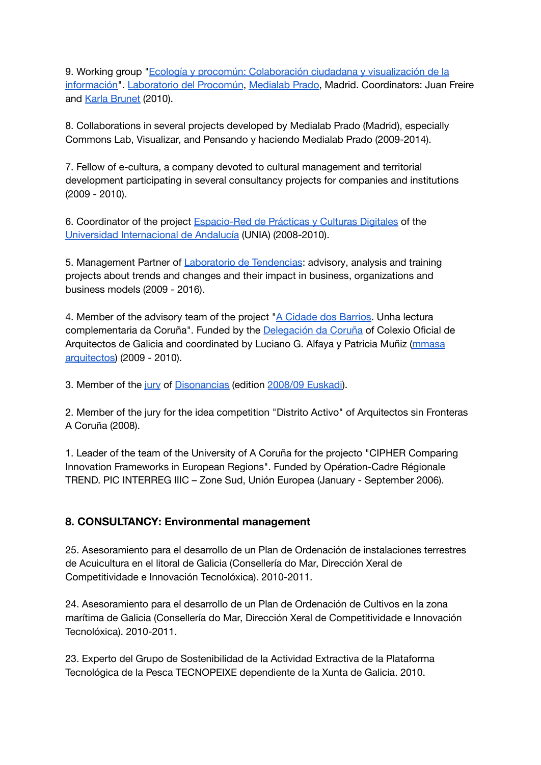9. Working group "Ecología y procomún: [Colaboración](http://medialab-prado.es/article/ecologia_y_procomun_colaboracion_ciudadana_y_visualizacion_de_la_informacion) ciudadana y visualización de la [información"](http://medialab-prado.es/article/ecologia_y_procomun_colaboracion_ciudadana_y_visualizacion_de_la_informacion). [Laboratorio](http://medialab-prado.es/laboratorio_del_procomun) del Procomún, [Medialab](http://medialab-prado.es/) Prado, Madrid. Coordinators: Juan Freire and Karla [Brunet](http://www.karlabrunet.com/) (2010).

8. Collaborations in several projects developed by Medialab Prado (Madrid), especially Commons Lab, Visualizar, and Pensando y haciendo Medialab Prado (2009-2014).

7. Fellow of e-cultura, a company devoted to cultural management and territorial development participating in several consultancy projects for companies and institutions (2009 - 2010).

6. Coordinator of the project [Espacio-Red](http://practicasdigitales.unia.es/) de Prácticas y Culturas Digitales of the Universidad [Internacional](http://www.unia.es/) de Andalucía (UNIA) (2008-2010).

5. Management Partner of [Laboratorio](http://www.laboratoriodetendencias.com/) de Tendencias: advisory, analysis and training projects about trends and changes and their impact in business, organizations and business models (2009 - 2016).

4. Member of the advisory team of the project "A [Cidade](http://www.acidadedosbarrios.org/) dos Barrios. Unha lectura complementaria da Coruña". Funded by the [Delegación](http://coruna.coag.es/) da Coruña of Colexio Oficial de Arquitectos de Galicia and coordinated by Luciano G. Alfaya y Patricia Muñiz [\(mmasa](http://www.mmasa.net/) [arquitectos\)](http://www.mmasa.net/) (2009 - 2010).

3. Member of the [jury](http://www.disonancias.com/es/articulo/345-reunion-del-jurado/) of [Disonancias](http://www.disonancias.com/es/) (edition [2008/09](http://www.disonancias.com/es/articulo/232-disonancias-2008/09-euskadi/) Euskadi).

2. Member of the jury for the idea competition "Distrito Activo" of Arquitectos sin Fronteras A Coruña (2008).

1. Leader of the team of the University of A Coruña for the projecto "CIPHER Comparing Innovation Frameworks in European Regions". Funded by Opération-Cadre Régionale TREND. PIC INTERREG IIIC – Zone Sud, Unión Europea (January - September 2006).

### <span id="page-10-0"></span>**8. CONSULTANCY: Environmental management**

25. Asesoramiento para el desarrollo de un Plan de Ordenación de instalaciones terrestres de Acuicultura en el litoral de Galicia (Consellería do Mar, Dirección Xeral de Competitividade e Innovación Tecnolóxica). 2010-2011.

24. Asesoramiento para el desarrollo de un Plan de Ordenación de Cultivos en la zona marítima de Galicia (Consellería do Mar, Dirección Xeral de Competitividade e Innovación Tecnolóxica). 2010-2011.

23. Experto del Grupo de Sostenibilidad de la Actividad Extractiva de la Plataforma Tecnológica de la Pesca TECNOPEIXE dependiente de la Xunta de Galicia. 2010.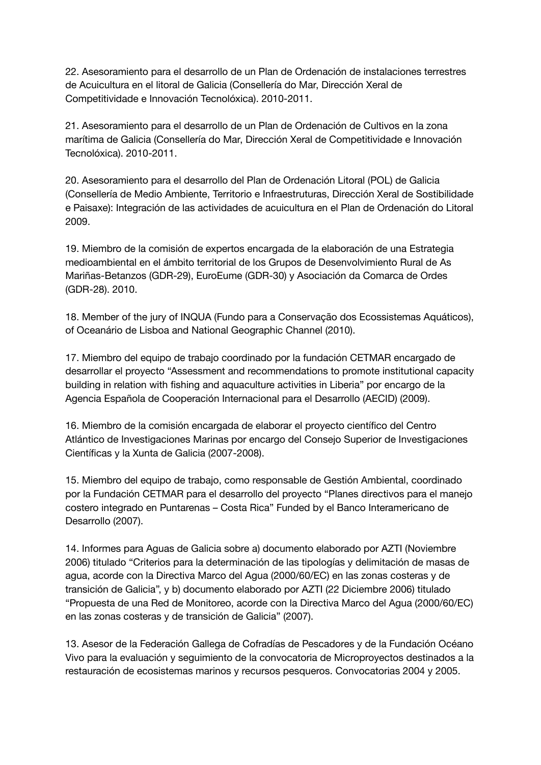22. Asesoramiento para el desarrollo de un Plan de Ordenación de instalaciones terrestres de Acuicultura en el litoral de Galicia (Consellería do Mar, Dirección Xeral de Competitividade e Innovación Tecnolóxica). 2010-2011.

21. Asesoramiento para el desarrollo de un Plan de Ordenación de Cultivos en la zona marítima de Galicia (Consellería do Mar, Dirección Xeral de Competitividade e Innovación Tecnolóxica). 2010-2011.

20. Asesoramiento para el desarrollo del Plan de Ordenación Litoral (POL) de Galicia (Consellería de Medio Ambiente, Territorio e Infraestruturas, Dirección Xeral de Sostibilidade e Paisaxe): Integración de las actividades de acuicultura en el Plan de Ordenación do Litoral 2009.

19. Miembro de la comisión de expertos encargada de la elaboración de una Estrategia medioambiental en el ámbito territorial de los Grupos de Desenvolvimiento Rural de As Mariñas-Betanzos (GDR-29), EuroEume (GDR-30) y Asociación da Comarca de Ordes (GDR-28). 2010.

18. Member of the jury of INQUA (Fundo para a Conservação dos Ecossistemas Aquáticos), of Oceanário de Lisboa and National Geographic Channel (2010).

17. Miembro del equipo de trabajo coordinado por la fundación CETMAR encargado de desarrollar el proyecto "Assessment and recommendations to promote institutional capacity building in relation with fishing and aquaculture activities in Liberia" por encargo de la Agencia Española de Cooperación Internacional para el Desarrollo (AECID) (2009).

16. Miembro de la comisión encargada de elaborar el proyecto científico del Centro Atlántico de Investigaciones Marinas por encargo del Consejo Superior de Investigaciones Científicas y la Xunta de Galicia (2007-2008).

15. Miembro del equipo de trabajo, como responsable de Gestión Ambiental, coordinado por la Fundación CETMAR para el desarrollo del proyecto "Planes directivos para el manejo costero integrado en Puntarenas – Costa Rica" Funded by el Banco Interamericano de Desarrollo (2007).

14. Informes para Aguas de Galicia sobre a) documento elaborado por AZTI (Noviembre 2006) titulado "Criterios para la determinación de las tipologías y delimitación de masas de agua, acorde con la Directiva Marco del Agua (2000/60/EC) en las zonas costeras y de transición de Galicia", y b) documento elaborado por AZTI (22 Diciembre 2006) titulado "Propuesta de una Red de Monitoreo, acorde con la Directiva Marco del Agua (2000/60/EC) en las zonas costeras y de transición de Galicia" (2007).

13. Asesor de la Federación Gallega de Cofradías de Pescadores y de la Fundación Océano Vivo para la evaluación y seguimiento de la convocatoria de Microproyectos destinados a la restauración de ecosistemas marinos y recursos pesqueros. Convocatorias 2004 y 2005.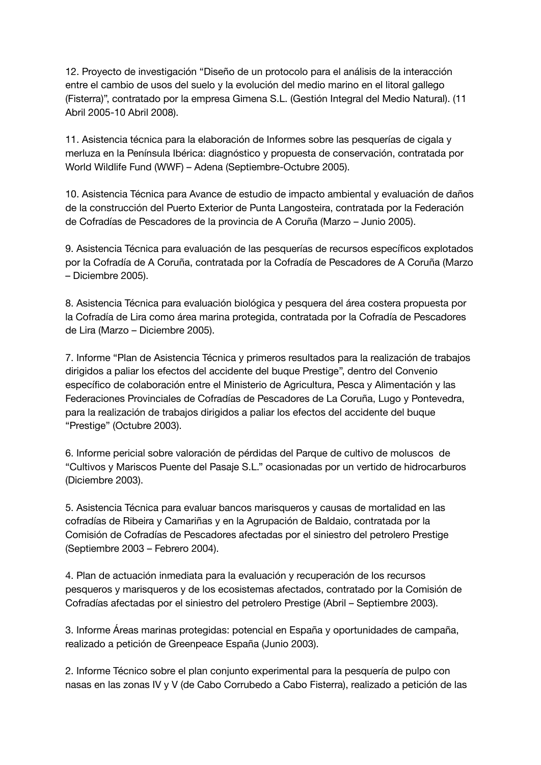12. Proyecto de investigación "Diseño de un protocolo para el análisis de la interacción entre el cambio de usos del suelo y la evolución del medio marino en el litoral gallego (Fisterra)", contratado por la empresa Gimena S.L. (Gestión Integral del Medio Natural). (11 Abril 2005-10 Abril 2008).

11. Asistencia técnica para la elaboración de Informes sobre las pesquerías de cigala y merluza en la Península Ibérica: diagnóstico y propuesta de conservación, contratada por World Wildlife Fund (WWF) – Adena (Septiembre-Octubre 2005).

10. Asistencia Técnica para Avance de estudio de impacto ambiental y evaluación de daños de la construcción del Puerto Exterior de Punta Langosteira, contratada por la Federación de Cofradías de Pescadores de la provincia de A Coruña (Marzo – Junio 2005).

9. Asistencia Técnica para evaluación de las pesquerías de recursos específicos explotados por la Cofradía de A Coruña, contratada por la Cofradía de Pescadores de A Coruña (Marzo – Diciembre 2005).

8. Asistencia Técnica para evaluación biológica y pesquera del área costera propuesta por la Cofradía de Lira como área marina protegida, contratada por la Cofradía de Pescadores de Lira (Marzo – Diciembre 2005).

7. Informe "Plan de Asistencia Técnica y primeros resultados para la realización de trabajos dirigidos a paliar los efectos del accidente del buque Prestige", dentro del Convenio específico de colaboración entre el Ministerio de Agricultura, Pesca y Alimentación y las Federaciones Provinciales de Cofradías de Pescadores de La Coruña, Lugo y Pontevedra, para la realización de trabajos dirigidos a paliar los efectos del accidente del buque "Prestige" (Octubre 2003).

6. Informe pericial sobre valoración de pérdidas del Parque de cultivo de moluscos de "Cultivos y Mariscos Puente del Pasaje S.L." ocasionadas por un vertido de hidrocarburos (Diciembre 2003).

5. Asistencia Técnica para evaluar bancos marisqueros y causas de mortalidad en las cofradías de Ribeira y Camariñas y en la Agrupación de Baldaio, contratada por la Comisión de Cofradías de Pescadores afectadas por el siniestro del petrolero Prestige (Septiembre 2003 – Febrero 2004).

4. Plan de actuación inmediata para la evaluación y recuperación de los recursos pesqueros y marisqueros y de los ecosistemas afectados, contratado por la Comisión de Cofradías afectadas por el siniestro del petrolero Prestige (Abril – Septiembre 2003).

3. Informe Áreas marinas protegidas: potencial en España y oportunidades de campaña, realizado a petición de Greenpeace España (Junio 2003).

2. Informe Técnico sobre el plan conjunto experimental para la pesquería de pulpo con nasas en las zonas IV y V (de Cabo Corrubedo a Cabo Fisterra), realizado a petición de las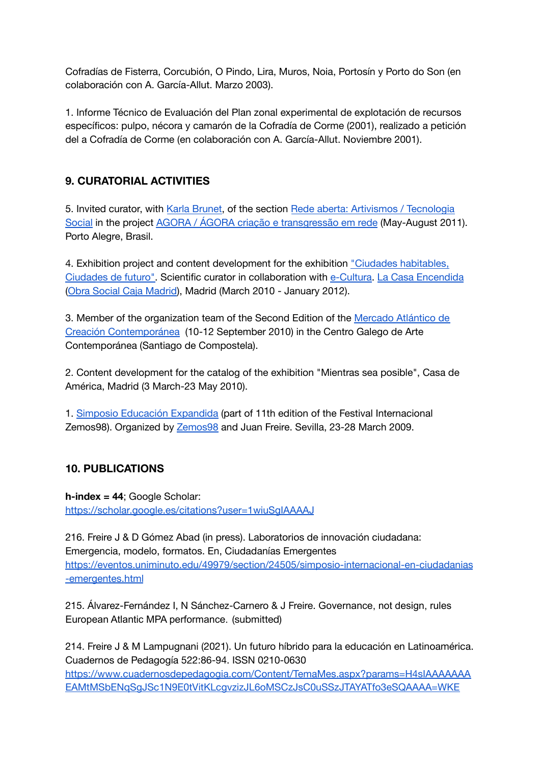Cofradías de Fisterra, Corcubión, O Pindo, Lira, Muros, Noia, Portosín y Porto do Son (en colaboración con A. García-Allut. Marzo 2003).

1. Informe Técnico de Evaluación del Plan zonal experimental de explotación de recursos específicos: pulpo, nécora y camarón de la Cofradía de Corme (2001), realizado a petición del a Cofradía de Corme (en colaboración con A. García-Allut. Noviembre 2001).

# <span id="page-13-0"></span>**9. CURATORIAL ACTIVITIES**

5. Invited curator, with Karla [Brunet,](http://www.karlabru.net/) of the section Rede aberta: Artivismos / [Tecnologia](http://www.agora.art.br/#/rede-aberta) [Social](http://www.agora.art.br/#/rede-aberta) in the project AGORA / ÁGORA criação e [transgressão](http://www.agora.art.br/) em rede (May-August 2011). Porto Alegre, Brasil.

4. Exhibition project and content development for the exhibition "Ciudades [habitables,](http://www.lacasaencendida.es/LCE/lceCruce/0,0,73537_0_73523_15242$P1%3D16,00.html) [Ciudades](http://www.lacasaencendida.es/LCE/lceCruce/0,0,73537_0_73523_15242$P1%3D16,00.html) de futuro". Scientific curator in collaboration with [e-Cultura.](http://www.e-cultura.net/) La Casa [Encendida](http://www.lacasaencendida.es/) (Obra Social Caja [Madrid\)](http://www.obrasocialcajamadrid.es/), Madrid (March 2010 - January 2012).

3. Member of the organization team of the Second Edition of the [Mercado](http://www.maccatlantic.org/) Atlántico de Creación [Contemporánea](http://www.maccatlantic.org/) (10-12 September 2010) in the Centro Galego de Arte Contemporánea (Santiago de Compostela).

2. Content development for the catalog of the exhibition "Mientras sea posible", Casa de América, Madrid (3 March-23 May 2010).

1. Simposio Educación [Expandida](http://www.zemos98.org/simposio/spip.php) (part of 11th edition of the Festival Internacional Zemos98). Organized by [Zemos98](http://www.zemos98.org/) and Juan Freire. Sevilla, 23-28 March 2009.

# <span id="page-13-1"></span>**10. PUBLICATIONS**

**h-index = 44**; Google Scholar: <https://scholar.google.es/citations?user=1wiuSgIAAAAJ>

216. Freire J & D Gómez Abad (in press). Laboratorios de innovación ciudadana: Emergencia, modelo, formatos. En, Ciudadanías Emergentes [https://eventos.uniminuto.edu/49979/section/24505/simposio-internacional-en-ciudadanias](https://eventos.uniminuto.edu/49979/section/24505/simposio-internacional-en-ciudadanias-emergentes.html) [-emergentes.html](https://eventos.uniminuto.edu/49979/section/24505/simposio-internacional-en-ciudadanias-emergentes.html)

215. Álvarez-Fernández I, N Sánchez-Carnero & J Freire. Governance, not design, rules European Atlantic MPA performance. (submitted)

214. Freire J & M Lampugnani (2021). Un futuro híbrido para la educación en Latinoamérica. Cuadernos de Pedagogía 522:86-94. ISSN 0210-0630 [https://www.cuadernosdepedagogia.com/Content/TemaMes.aspx?params=H4sIAAAAAAA](https://www.cuadernosdepedagogia.com/Content/TemaMes.aspx?params=H4sIAAAAAAAEAMtMSbENqSgJSc1N9E0tVitKLcgvzizJL6oMSCzJsC0uSSzJTAYATfo3eSQAAAA=WKE) [EAMtMSbENqSgJSc1N9E0tVitKLcgvzizJL6oMSCzJsC0uSSzJTAYATfo3eSQAAAA=WKE](https://www.cuadernosdepedagogia.com/Content/TemaMes.aspx?params=H4sIAAAAAAAEAMtMSbENqSgJSc1N9E0tVitKLcgvzizJL6oMSCzJsC0uSSzJTAYATfo3eSQAAAA=WKE)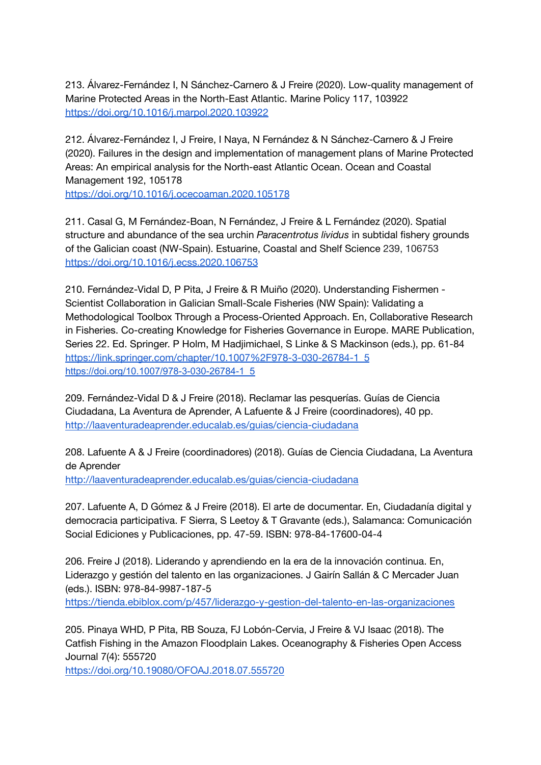213. Álvarez-Fernández I, N Sánchez-Carnero & J Freire (2020). Low-quality management of Marine Protected Areas in the North-East Atlantic. Marine Policy 117, 103922 <https://doi.org/10.1016/j.marpol.2020.103922>

212. Álvarez-Fernández I, J Freire, I Naya, N Fernández & N Sánchez-Carnero & J Freire (2020). Failures in the design and implementation of management plans of Marine Protected Areas: An empirical analysis for the North-east Atlantic Ocean. Ocean and Coastal Management 192, 105178 <https://doi.org/10.1016/j.ocecoaman.2020.105178>

211. Casal G, M Fernández-Boan, N Fernández, J Freire & L Fernández (2020). Spatial structure and abundance of the sea urchin *Paracentrotus lividus* in subtidal fishery grounds of the Galician coast (NW-Spain). Estuarine, Coastal and Shelf Science 239, 106753 <https://doi.org/10.1016/j.ecss.2020.106753>

210. Fernández-Vidal D, P Pita, J Freire & R Muiño (2020). Understanding Fishermen - Scientist Collaboration in Galician Small-Scale Fisheries (NW Spain): Validating a Methodological Toolbox Through a Process-Oriented Approach. En, Collaborative Research in Fisheries. Co-creating Knowledge for Fisheries Governance in Europe. MARE Publication, Series 22. Ed. Springer. P Holm, M Hadjimichael, S Linke & S Mackinson (eds.), pp. 61-84 [https://link.springer.com/chapter/10.1007%2F978-3-030-26784-1\\_5](https://link.springer.com/chapter/10.1007%2F978-3-030-26784-1_5) [https://doi.org/10.1007/978-3-030-26784-1\\_5](https://doi.org/10.1007/978-3-030-26784-1_5)

209. Fernández-Vidal D & J Freire (2018). Reclamar las pesquerías. Guías de Ciencia Ciudadana, La Aventura de Aprender, A Lafuente & J Freire (coordinadores), 40 pp. <http://laaventuradeaprender.educalab.es/guias/ciencia-ciudadana>

208. Lafuente A & J Freire (coordinadores) (2018). Guías de Ciencia Ciudadana, La Aventura de Aprender <http://laaventuradeaprender.educalab.es/guias/ciencia-ciudadana>

207. Lafuente A, D Gómez & J Freire (2018). El arte de documentar. En, Ciudadanía digital y democracia participativa. F Sierra, S Leetoy & T Gravante (eds.), Salamanca: Comunicación Social Ediciones y Publicaciones, pp. 47-59. ISBN: 978-84-17600-04-4

206. Freire J (2018). Liderando y aprendiendo en la era de la innovación continua. En, Liderazgo y gestión del talento en las organizaciones. J Gairín Sallán & C Mercader Juan (eds.). ISBN: 978-84-9987-187-5 <https://tienda.ebiblox.com/p/457/liderazgo-y-gestion-del-talento-en-las-organizaciones>

205. Pinaya WHD, P Pita, RB Souza, FJ Lobón-Cervia, J Freire & VJ Isaac (2018). The Catfish Fishing in the Amazon Floodplain Lakes. Oceanography & Fisheries Open Access Journal 7(4): 555720

<https://doi.org/10.19080/OFOAJ.2018.07.555720>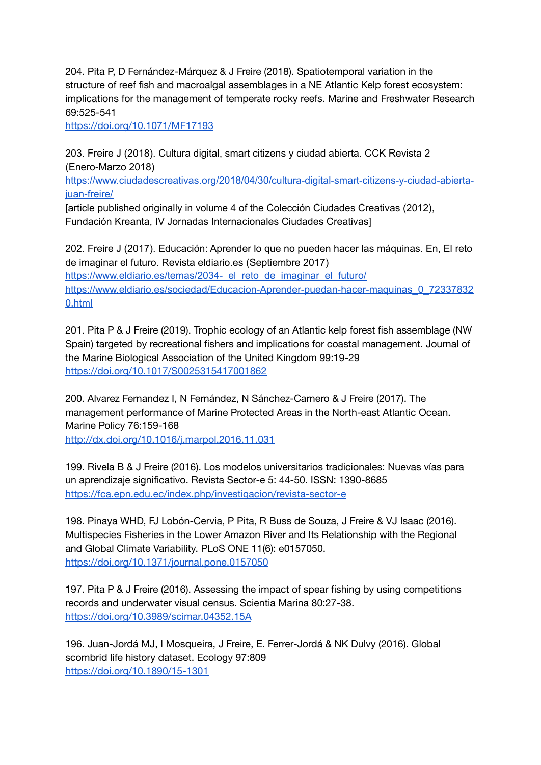204. Pita P, D Fernández-Márquez & J Freire (2018). Spatiotemporal variation in the structure of reef fish and macroalgal assemblages in a NE Atlantic Kelp forest ecosystem: implications for the management of temperate rocky reefs. Marine and Freshwater Research 69:525-541

<https://doi.org/10.1071/MF17193>

203. Freire J (2018). Cultura digital, smart citizens y ciudad abierta. CCK Revista 2 (Enero-Marzo 2018)

[https://www.ciudadescreativas.org/2018/04/30/cultura-digital-smart-citizens-y-ciudad-abierta](https://www.ciudadescreativas.org/2018/04/30/cultura-digital-smart-citizens-y-ciudad-abierta-juan-freire/)[juan-freire/](https://www.ciudadescreativas.org/2018/04/30/cultura-digital-smart-citizens-y-ciudad-abierta-juan-freire/)

[article published originally in volume 4 of the Colección Ciudades Creativas (2012), Fundación Kreanta, IV Jornadas Internacionales Ciudades Creativas]

202. Freire J (2017). Educación: Aprender lo que no pueden hacer las máquinas. En, El reto de imaginar el futuro. Revista eldiario.es (Septiembre 2017) https://www.eldiario.es/temas/2034- el reto de imaginar el futuro/ [https://www.eldiario.es/sociedad/Educacion-Aprender-puedan-hacer-maquinas\\_0\\_72337832](https://www.eldiario.es/sociedad/Educacion-Aprender-puedan-hacer-maquinas_0_723378320.html) [0.html](https://www.eldiario.es/sociedad/Educacion-Aprender-puedan-hacer-maquinas_0_723378320.html)

201. Pita P & J Freire (2019). Trophic ecology of an Atlantic kelp forest fish assemblage (NW Spain) targeted by recreational fishers and implications for coastal management. Journal of the Marine Biological Association of the United Kingdom 99:19-29 <https://doi.org/10.1017/S0025315417001862>

200. Alvarez Fernandez I, N Fernández, N Sánchez-Carnero & J Freire (2017). The management performance of Marine Protected Areas in the North-east Atlantic Ocean. Marine Policy 76:159-168

<http://dx.doi.org/10.1016/j.marpol.2016.11.031>

199. Rivela B & J Freire (2016). Los modelos universitarios tradicionales: Nuevas vías para un aprendizaje significativo. Revista Sector-e 5: 44-50. ISSN: 1390-8685 <https://fca.epn.edu.ec/index.php/investigacion/revista-sector-e>

198. Pinaya WHD, FJ Lobón-Cervia, P Pita, R Buss de Souza, J Freire & VJ Isaac (2016). Multispecies Fisheries in the Lower Amazon River and Its Relationship with the Regional and Global Climate Variability. PLoS ONE 11(6): e0157050. <https://doi.org/10.1371/journal.pone.0157050>

197. Pita P & J Freire (2016). Assessing the impact of spear fishing by using competitions records and underwater visual census. Scientia Marina 80:27-38. <https://doi.org/10.3989/scimar.04352.15A>

196. Juan-Jordá MJ, I Mosqueira, J Freire, E. Ferrer-Jordá & NK Dulvy (2016). Global scombrid life history dataset. Ecology 97:809 <https://doi.org/10.1890/15-1301>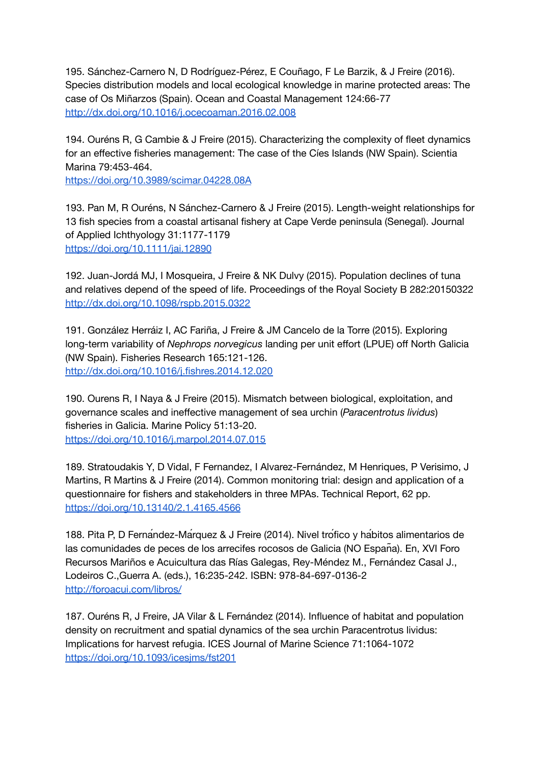195. Sánchez-Carnero N, D Rodríguez-Pérez, E Couñago, F Le Barzik, & J Freire (2016). Species distribution models and local ecological knowledge in marine protected areas: The case of Os Miñarzos (Spain). Ocean and Coastal Management 124:66-77 <http://dx.doi.org/10.1016/j.ocecoaman.2016.02.008>

194. Ouréns R, G Cambie & J Freire (2015). Characterizing the complexity of fleet dynamics for an effective fisheries management: The case of the Cíes Islands (NW Spain). Scientia Marina 79:453-464.

<https://doi.org/10.3989/scimar.04228.08A>

193. Pan M, R Ouréns, N Sánchez-Carnero & J Freire (2015). Length-weight relationships for 13 fish species from a coastal artisanal fishery at Cape Verde peninsula (Senegal). Journal of Applied Ichthyology 31:1177-1179 <https://doi.org/10.1111/jai.12890>

192. Juan-Jordá MJ, I Mosqueira, J Freire & NK Dulvy (2015). Population declines of tuna and relatives depend of the speed of life. Proceedings of the Royal Society B 282:20150322 <http://dx.doi.org/10.1098/rspb.2015.0322>

191. González Herráiz I, AC Fariña, J Freire & JM Cancelo de la Torre (2015). Exploring long-term variability of *Nephrops norvegicus* landing per unit effort (LPUE) off North Galicia (NW Spain). Fisheries Research 165:121-126. <http://dx.doi.org/10.1016/j.fishres.2014.12.020>

190. Ourens R, I Naya & J Freire (2015). Mismatch between biological, exploitation, and governance scales and ineffective management of sea urchin (*Paracentrotus lividus*) fisheries in Galicia. Marine Policy 51:13-20. <https://doi.org/10.1016/j.marpol.2014.07.015>

189. Stratoudakis Y, D Vidal, F Fernandez, I Alvarez-Fernández, M Henriques, P Verisimo, J Martins, R Martins & J Freire (2014). Common monitoring trial: design and application of a questionnaire for fishers and stakeholders in three MPAs. Technical Report, 62 pp. <https://doi.org/10.13140/2.1.4165.4566>

188. Pita P, D Fernández-Márquez & J Freire (2014). Nivel trófico y hábitos alimentarios de las comunidades de peces de los arrecifes rocosos de Galicia (NO España). En, XVI Foro Recursos Mariños e Acuicultura das Rías Galegas, Rey-Méndez M., Fernández Casal J., Lodeiros C.,Guerra A. (eds.), 16:235-242. ISBN: 978-84-697-0136-2 <http://foroacui.com/libros/>

187. Ouréns R, J Freire, JA Vilar & L Fernández (2014). Influence of habitat and population density on recruitment and spatial dynamics of the sea urchin Paracentrotus lividus: Implications for harvest refugia. ICES Journal of Marine Science 71:1064-1072 <https://doi.org/10.1093/icesjms/fst201>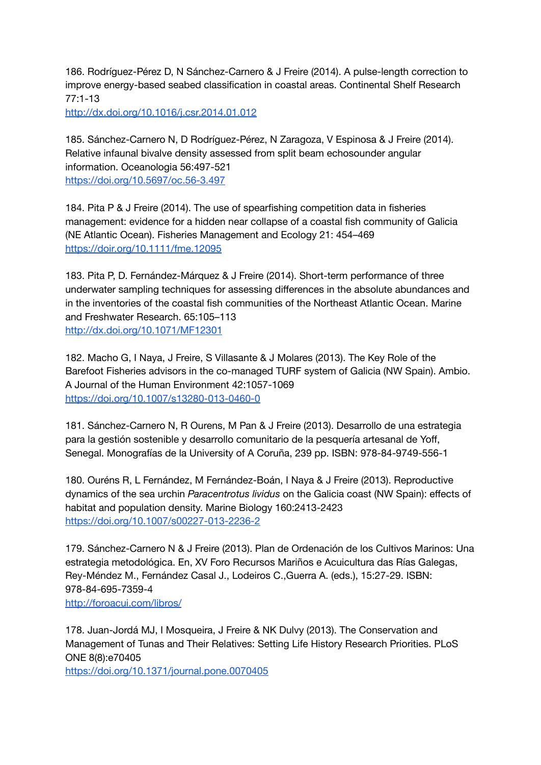186. Rodríguez-Pérez D, N Sánchez-Carnero & J Freire (2014). A pulse-length correction to improve energy-based seabed classification in coastal areas. Continental Shelf Research 77:1-13

<http://dx.doi.org/10.1016/j.csr.2014.01.012>

185. Sánchez-Carnero N, D Rodríguez-Pérez, N Zaragoza, V Espinosa & J Freire (2014). Relative infaunal bivalve density assessed from split beam echosounder angular information. Oceanologia 56:497-521 <https://doi.org/10.5697/oc.56-3.497>

184. Pita P & J Freire (2014). The use of spearfishing competition data in fisheries management: evidence for a hidden near collapse of a coastal fish community of Galicia (NE Atlantic Ocean). Fisheries Management and Ecology 21: 454–469 <https://doir.org/10.1111/fme.12095>

183. Pita P, D. Fernández-Márquez & J Freire (2014). Short-term performance of three underwater sampling techniques for assessing differences in the absolute abundances and in the inventories of the coastal fish communities of the Northeast Atlantic Ocean. Marine and Freshwater Research. 65:105–113 <http://dx.doi.org/10.1071/MF12301>

182. Macho G, I Naya, J Freire, S Villasante & J Molares (2013). The Key Role of the Barefoot Fisheries advisors in the co-managed TURF system of Galicia (NW Spain). Ambio. A Journal of the Human Environment 42:1057-1069 <https://doi.org/10.1007/s13280-013-0460-0>

181. Sánchez-Carnero N, R Ourens, M Pan & J Freire (2013). Desarrollo de una estrategia para la gestión sostenible y desarrollo comunitario de la pesquería artesanal de Yoff, Senegal. Monografías de la University of A Coruña, 239 pp. ISBN: 978-84-9749-556-1

180. Ouréns R, L Fernández, M Fernández-Boán, I Naya & J Freire (2013). Reproductive dynamics of the sea urchin *Paracentrotus lividus* on the Galicia coast (NW Spain): effects of habitat and population density. Marine Biology 160:2413-2423 <https://doi.org/10.1007/s00227-013-2236-2>

179. Sánchez-Carnero N & J Freire (2013). Plan de Ordenación de los Cultivos Marinos: Una estrategia metodológica. En, XV Foro Recursos Mariños e Acuicultura das Rías Galegas, Rey-Méndez M., Fernández Casal J., Lodeiros C.,Guerra A. (eds.), 15:27-29. ISBN: 978-84-695-7359-4 <http://foroacui.com/libros/>

178. Juan-Jordá MJ, I Mosqueira, J Freire & NK Dulvy (2013). The Conservation and Management of Tunas and Their Relatives: Setting Life History Research Priorities. PLoS ONE 8(8):e70405

<https://doi.org/10.1371/journal.pone.0070405>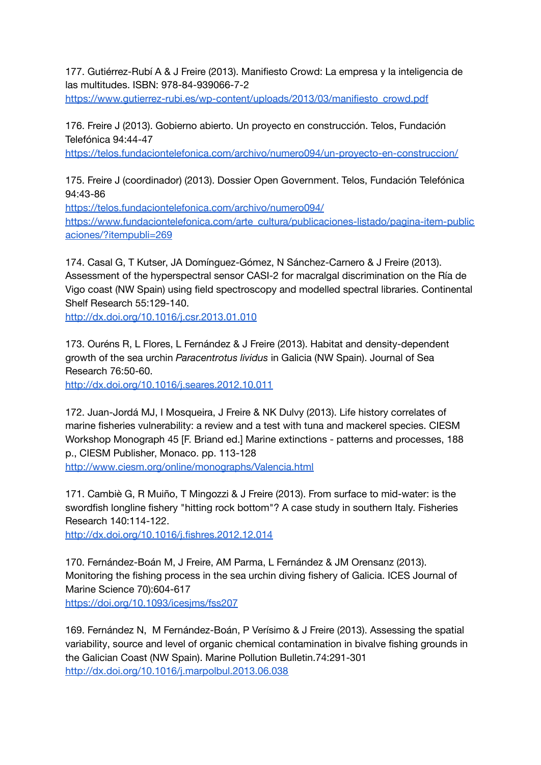177. Gutiérrez-Rubí A & J Freire (2013). Manifiesto Crowd: La empresa y la inteligencia de las multitudes. ISBN: 978-84-939066-7-2

[https://www.gutierrez-rubi.es/wp-content/uploads/2013/03/manifiesto\\_crowd.pdf](https://www.gutierrez-rubi.es/wp-content/uploads/2013/03/manifiesto_crowd.pdf)

176. Freire J (2013). Gobierno abierto. Un proyecto en construcción. Telos, Fundación Telefónica 94:44-47

<https://telos.fundaciontelefonica.com/archivo/numero094/un-proyecto-en-construccion/>

175. Freire J (coordinador) (2013). Dossier Open Government. Telos, Fundación Telefónica 94:43-86

<https://telos.fundaciontelefonica.com/archivo/numero094/> [https://www.fundaciontelefonica.com/arte\\_cultura/publicaciones-listado/pagina-item-public](https://www.fundaciontelefonica.com/arte_cultura/publicaciones-listado/pagina-item-publicaciones/?itempubli=269) [aciones/?itempubli=269](https://www.fundaciontelefonica.com/arte_cultura/publicaciones-listado/pagina-item-publicaciones/?itempubli=269)

174. Casal G, T Kutser, JA Domínguez-Gómez, N Sánchez-Carnero & J Freire (2013). Assessment of the hyperspectral sensor CASI-2 for macralgal discrimination on the Ría de Vigo coast (NW Spain) using field spectroscopy and modelled spectral libraries. Continental Shelf Research 55:129-140.

<http://dx.doi.org/10.1016/j.csr.2013.01.010>

173. Ouréns R, L Flores, L Fernández & J Freire (2013). Habitat and density-dependent growth of the sea urchin *Paracentrotus lividus* in Galicia (NW Spain). Journal of Sea Research 76:50-60.

<http://dx.doi.org/10.1016/j.seares.2012.10.011>

172. Juan-Jordá MJ, I Mosqueira, J Freire & NK Dulvy (2013). Life history correlates of marine fisheries vulnerability: a review and a test with tuna and mackerel species. CIESM Workshop Monograph 45 [F. Briand ed.] Marine extinctions - patterns and processes, 188 p., CIESM Publisher, Monaco. pp. 113-128 <http://www.ciesm.org/online/monographs/Valencia.html>

171. Cambiè G, R Muiño, T Mingozzi & J Freire (2013). From surface to mid-water: is the swordfish longline fishery "hitting rock bottom"? A case study in southern Italy. Fisheries Research 140:114-122.

<http://dx.doi.org/10.1016/j.fishres.2012.12.014>

170. Fernández-Boán M, J Freire, AM Parma, L Fernández & JM Orensanz (2013). Monitoring the fishing process in the sea urchin diving fishery of Galicia. ICES Journal of Marine Science 70):604-617

<https://doi.org/10.1093/icesjms/fss207>

169. Fernández N, M Fernández-Boán, P Verísimo & J Freire (2013). Assessing the spatial variability, source and level of organic chemical contamination in bivalve fishing grounds in the Galician Coast (NW Spain). Marine Pollution Bulletin.74:291-301 <http://dx.doi.org/10.1016/j.marpolbul.2013.06.038>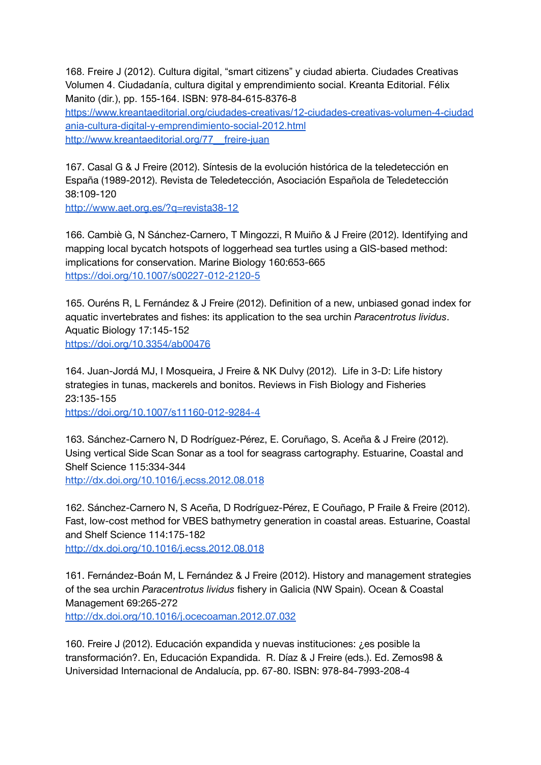168. Freire J (2012). Cultura digital, "smart citizens" y ciudad abierta. Ciudades Creativas Volumen 4. Ciudadanía, cultura digital y emprendimiento social. Kreanta Editorial. Félix Manito (dir.), pp. 155-164. ISBN: 978-84-615-8376-8 [https://www.kreantaeditorial.org/ciudades-creativas/12-ciudades-creativas-volumen-4-ciudad](https://www.kreantaeditorial.org/ciudades-creativas/12-ciudades-creativas-volumen-4-ciudadania-cultura-digital-y-emprendimiento-social-2012.html) [ania-cultura-digital-y-emprendimiento-social-2012.html](https://www.kreantaeditorial.org/ciudades-creativas/12-ciudades-creativas-volumen-4-ciudadania-cultura-digital-y-emprendimiento-social-2012.html) http://www.kreantaeditorial.org/77 freire-juan

167. Casal G & J Freire (2012). Síntesis de la evolución histórica de la teledetección en España (1989-2012). Revista de Teledetección, Asociación Española de Teledetección 38:109-120

<http://www.aet.org.es/?q=revista38-12>

166. Cambiè G, N Sánchez-Carnero, T Mingozzi, R Muiño & J Freire (2012). Identifying and mapping local bycatch hotspots of loggerhead sea turtles using a GIS-based method: implications for conservation. Marine Biology 160:653-665 <https://doi.org/10.1007/s00227-012-2120-5>

165. Ouréns R, L Fernández & J Freire (2012). Definition of a new, unbiased gonad index for aquatic invertebrates and fishes: its application to the sea urchin *Paracentrotus lividus*. Aquatic Biology 17:145-152 <https://doi.org/10.3354/ab00476>

164. Juan-Jordá MJ, I Mosqueira, J Freire & NK Dulvy (2012). Life in 3-D: Life history strategies in tunas, mackerels and bonitos. Reviews in Fish Biology and Fisheries 23:135-155

<https://doi.org/10.1007/s11160-012-9284-4>

163. Sánchez-Carnero N, D Rodríguez-Pérez, E. Coruñago, S. Aceña & J Freire (2012). Using vertical Side Scan Sonar as a tool for seagrass cartography. Estuarine, Coastal and Shelf Science 115:334-344 <http://dx.doi.org/10.1016/j.ecss.2012.08.018>

162. Sánchez-Carnero N, S Aceña, D Rodríguez-Pérez, E Couñago, P Fraile & Freire (2012). Fast, low-cost method for VBES bathymetry generation in coastal areas. Estuarine, Coastal and Shelf Science 114:175-182 <http://dx.doi.org/10.1016/j.ecss.2012.08.018>

161. Fernández-Boán M, L Fernández & J Freire (2012). History and management strategies of the sea urchin *Paracentrotus lividus* fishery in Galicia (NW Spain). Ocean & Coastal Management 69:265-272

<http://dx.doi.org/10.1016/j.ocecoaman.2012.07.032>

160. Freire J (2012). Educación expandida y nuevas instituciones: ¿es posible la transformación?. En, Educación Expandida. R. Díaz & J Freire (eds.). Ed. Zemos98 & Universidad Internacional de Andalucía, pp. 67-80. ISBN: 978-84-7993-208-4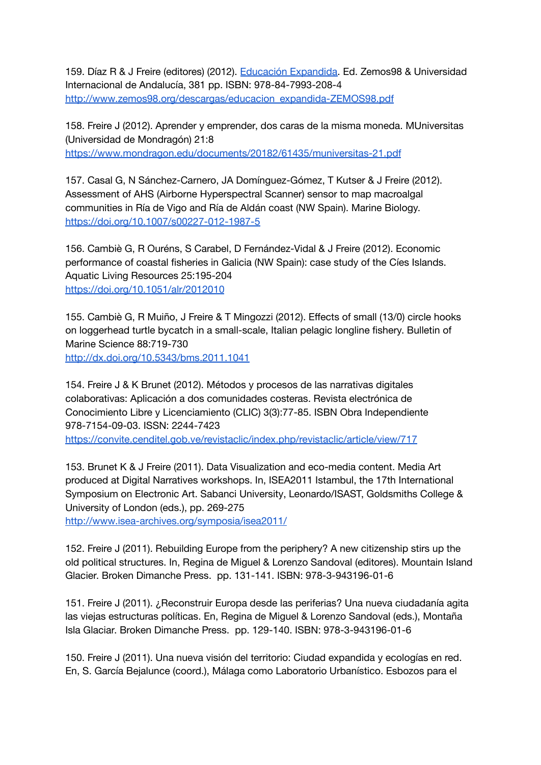159. Díaz R & J Freire (editores) (2012). Educación [Expandida.](http://www.zemos98.org/eduex/spip.php?article171) Ed. Zemos98 & Universidad Internacional de Andalucía, 381 pp. ISBN: 978-84-7993-208-4 [http://www.zemos98.org/descargas/educacion\\_expandida-ZEMOS98.pdf](http://www.zemos98.org/descargas/educacion_expandida-ZEMOS98.pdf)

158. Freire J (2012). Aprender y emprender, dos caras de la misma moneda. MUniversitas (Universidad de Mondragón) 21:8 <https://www.mondragon.edu/documents/20182/61435/muniversitas-21.pdf>

157. Casal G, N Sánchez-Carnero, JA Domínguez-Gómez, T Kutser & J Freire (2012). Assessment of AHS (Airborne Hyperspectral Scanner) sensor to map macroalgal communities in Ría de Vigo and Ría de Aldán coast (NW Spain). Marine Biology. <https://doi.org/10.1007/s00227-012-1987-5>

156. Cambiè G, R Ouréns, S Carabel, D Fernández-Vidal & J Freire (2012). Economic performance of coastal fisheries in Galicia (NW Spain): case study of the Cíes Islands. Aquatic Living Resources 25:195-204 <https://doi.org/10.1051/alr/2012010>

155. Cambiè G, R Muiño, J Freire & T Mingozzi (2012). Effects of small (13/0) circle hooks on loggerhead turtle bycatch in a small-scale, Italian pelagic longline fishery. Bulletin of Marine Science 88:719-730

<http://dx.doi.org/10.5343/bms.2011.1041>

154. Freire J & K Brunet (2012). Métodos y procesos de las narrativas digitales colaborativas: Aplicación a dos comunidades costeras. Revista electrónica de Conocimiento Libre y Licenciamiento (CLIC) 3(3):77-85. ISBN Obra Independiente 978-7154-09-03. ISSN: 2244-7423

<https://convite.cenditel.gob.ve/revistaclic/index.php/revistaclic/article/view/717>

153. Brunet K & J Freire (2011). Data Visualization and eco-media content. Media Art produced at Digital Narratives workshops. In, ISEA2011 Istambul, the 17th International Symposium on Electronic Art. Sabanci University, Leonardo/ISAST, Goldsmiths College & University of London (eds.), pp. 269-275

<http://www.isea-archives.org/symposia/isea2011/>

152. Freire J (2011). Rebuilding Europe from the periphery? A new citizenship stirs up the old political structures. In, Regina de Miguel & Lorenzo Sandoval (editores). Mountain Island Glacier. Broken Dimanche Press. pp. 131-141. ISBN: 978-3-943196-01-6

151. Freire J (2011). ¿Reconstruir Europa desde las periferias? Una nueva ciudadanía agita las viejas estructuras políticas. En, Regina de Miguel & Lorenzo Sandoval (eds.), Montaña Isla Glaciar. Broken Dimanche Press. pp. 129-140. ISBN: 978-3-943196-01-6

150. Freire J (2011). Una nueva visión del territorio: Ciudad expandida y ecologías en red. En, S. García Bejalunce (coord.), Málaga como Laboratorio Urbanístico. Esbozos para el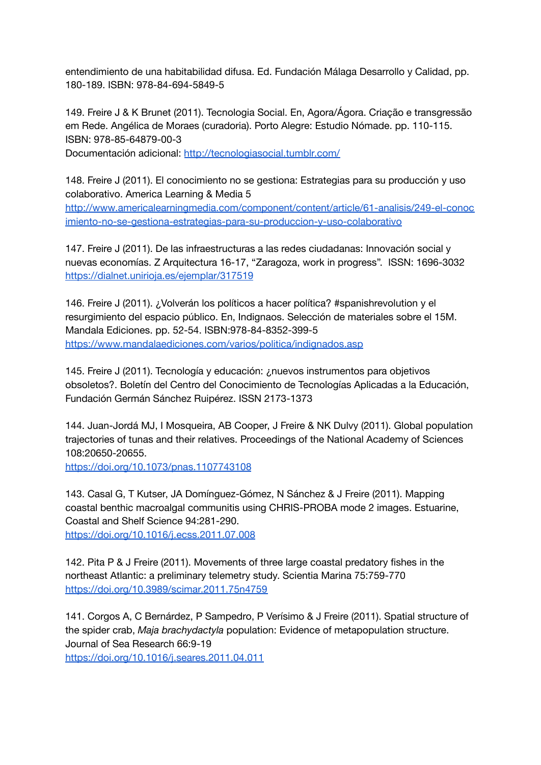entendimiento de una habitabilidad difusa. Ed. Fundación Málaga Desarrollo y Calidad, pp. 180-189. ISBN: 978-84-694-5849-5

149. Freire J & K Brunet (2011). Tecnologia Social. En, Agora/Ágora. Criação e transgressão em Rede. Angélica de Moraes (curadoria). Porto Alegre: Estudio Nómade. pp. 110-115. ISBN: 978-85-64879-00-3

Documentación adicional: <http://tecnologiasocial.tumblr.com/>

148. Freire J (2011). El conocimiento no se gestiona: Estrategias para su producción y uso colaborativo. America Learning & Media 5

[http://www.americalearningmedia.com/component/content/article/61-analisis/249-el-conoc](http://www.americalearningmedia.com/component/content/article/61-analisis/249-el-conocimiento-no-se-gestiona-estrategias-para-su-produccion-y-uso-colaborativo) [imiento-no-se-gestiona-estrategias-para-su-produccion-y-uso-colaborativo](http://www.americalearningmedia.com/component/content/article/61-analisis/249-el-conocimiento-no-se-gestiona-estrategias-para-su-produccion-y-uso-colaborativo)

147. Freire J (2011). De las infraestructuras a las redes ciudadanas: Innovación social y nuevas economías. Z Arquitectura 16-17, "Zaragoza, work in progress". ISSN: 1696-3032 <https://dialnet.unirioja.es/ejemplar/317519>

146. Freire J (2011). ¿Volverán los políticos a hacer política? #spanishrevolution y el resurgimiento del espacio público. En, Indignaos. Selección de materiales sobre el 15M. Mandala Ediciones. pp. 52-54. ISBN:978-84-8352-399-5 <https://www.mandalaediciones.com/varios/politica/indignados.asp>

145. Freire J (2011). Tecnología y educación: ¿nuevos instrumentos para objetivos obsoletos?. Boletín del Centro del Conocimiento de Tecnologías Aplicadas a la Educación, Fundación Germán Sánchez Ruipérez. ISSN 2173-1373

144. Juan-Jordá MJ, I Mosqueira, AB Cooper, J Freire & NK Dulvy (2011). Global population trajectories of tunas and their relatives. Proceedings of the National Academy of Sciences 108:20650-20655.

<https://doi.org/10.1073/pnas.1107743108>

143. Casal G, T Kutser, JA Domínguez-Gómez, N Sánchez & J Freire (2011). Mapping coastal benthic macroalgal communitis using CHRIS-PROBA mode 2 images. Estuarine, Coastal and Shelf Science 94:281-290.

<https://doi.org/10.1016/j.ecss.2011.07.008>

142. Pita P & J Freire (2011). Movements of three large coastal predatory fishes in the northeast Atlantic: a preliminary telemetry study. Scientia Marina 75:759-770 <https://doi.org/10.3989/scimar.2011.75n4759>

141. Corgos A, C Bernárdez, P Sampedro, P Verísimo & J Freire (2011). Spatial structure of the spider crab, *Maja brachydactyla* population: Evidence of metapopulation structure. Journal of Sea Research 66:9-19

<https://doi.org/10.1016/j.seares.2011.04.011>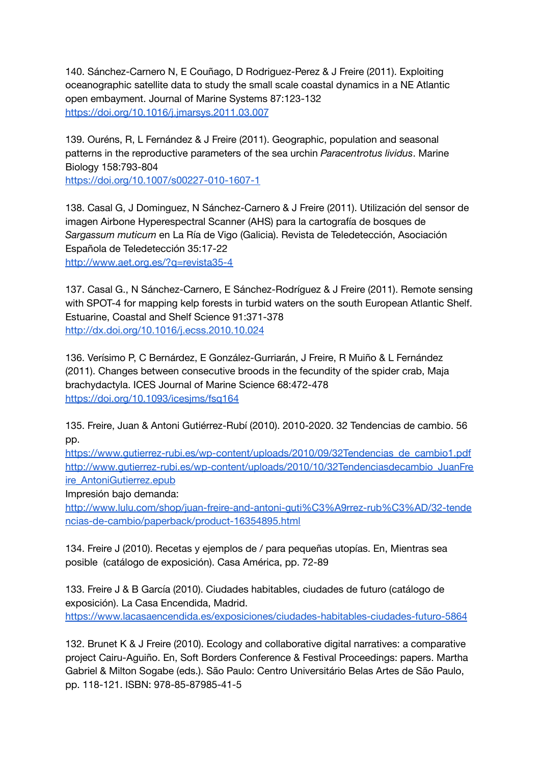140. Sánchez-Carnero N, E Couñago, D Rodriguez-Perez & J Freire (2011). Exploiting oceanographic satellite data to study the small scale coastal dynamics in a NE Atlantic open embayment. Journal of Marine Systems 87:123-132 <https://doi.org/10.1016/j.jmarsys.2011.03.007>

139. Ouréns, R, L Fernández & J Freire (2011). Geographic, population and seasonal patterns in the reproductive parameters of the sea urchin *Paracentrotus lividus*. Marine Biology 158:793-804

<https://doi.org/10.1007/s00227-010-1607-1>

138. Casal G, J Dominguez, N Sánchez-Carnero & J Freire (2011). Utilización del sensor de imagen Airbone Hyperespectral Scanner (AHS) para la cartografía de bosques de *Sargassum muticum* en La Ría de Vigo (Galicia). Revista de Teledetección, Asociación Española de Teledetección 35:17-22 <http://www.aet.org.es/?q=revista35-4>

137. Casal G., N Sánchez-Carnero, E Sánchez-Rodríguez & J Freire (2011). Remote sensing with SPOT-4 for mapping kelp forests in turbid waters on the south European Atlantic Shelf. Estuarine, Coastal and Shelf Science 91:371-378 <http://dx.doi.org/10.1016/j.ecss.2010.10.024>

136. Verísimo P, C Bernárdez, E González-Gurriarán, J Freire, R Muiño & L Fernández (2011). Changes between consecutive broods in the fecundity of the spider crab, Maja brachydactyla. ICES Journal of Marine Science 68:472-478 <https://doi.org/10.1093/icesjms/fsq164>

135. Freire, Juan & Antoni Gutiérrez-Rubí (2010). 2010-2020. 32 Tendencias de cambio. 56 pp.

[https://www.gutierrez-rubi.es/wp-content/uploads/2010/09/32Tendencias\\_de\\_cambio1.pdf](https://www.gutierrez-rubi.es/wp-content/uploads/2010/09/32Tendencias_de_cambio1.pdf) [http://www.gutierrez-rubi.es/wp-content/uploads/2010/10/32Tendenciasdecambio\\_JuanFre](http://www.gutierrez-rubi.es/wp-content/uploads/2010/10/32Tendenciasdecambio_JuanFreire_AntoniGutierrez.epub) [ire\\_AntoniGutierrez.epub](http://www.gutierrez-rubi.es/wp-content/uploads/2010/10/32Tendenciasdecambio_JuanFreire_AntoniGutierrez.epub)

Impresión bajo demanda:

[http://www.lulu.com/shop/juan-freire-and-antoni-guti%C3%A9rrez-rub%C3%AD/32-tende](http://www.lulu.com/shop/juan-freire-and-antoni-guti%C3%A9rrez-rub%C3%AD/32-tendencias-de-cambio/paperback/product-16354895.html) [ncias-de-cambio/paperback/product-16354895.html](http://www.lulu.com/shop/juan-freire-and-antoni-guti%C3%A9rrez-rub%C3%AD/32-tendencias-de-cambio/paperback/product-16354895.html)

134. Freire J (2010). Recetas y ejemplos de / para pequeñas utopías. En, Mientras sea posible (catálogo de exposición). Casa América, pp. 72-89

133. Freire J & B García (2010). Ciudades habitables, ciudades de futuro (catálogo de exposición). La Casa Encendida, Madrid. <https://www.lacasaencendida.es/exposiciones/ciudades-habitables-ciudades-futuro-5864>

132. Brunet K & J Freire (2010). Ecology and collaborative digital narratives: a comparative project Cairu-Aguiño. En, Soft Borders Conference & Festival Proceedings: papers. Martha Gabriel & Milton Sogabe (eds.). São Paulo: Centro Universitário Belas Artes de São Paulo, pp. 118-121. ISBN: 978-85-87985-41-5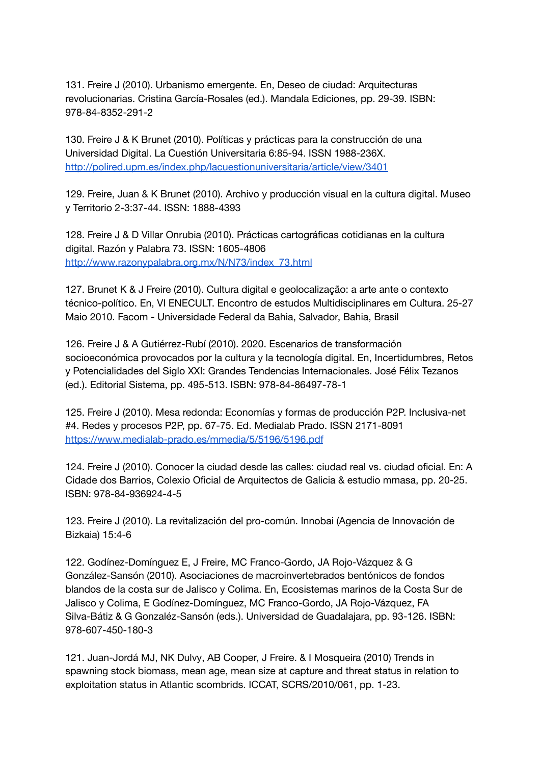131. Freire J (2010). Urbanismo emergente. En, Deseo de ciudad: Arquitecturas revolucionarias. Cristina García-Rosales (ed.). Mandala Ediciones, pp. 29-39. ISBN: 978-84-8352-291-2

130. Freire J & K Brunet (2010). Políticas y prácticas para la construcción de una Universidad Digital. La Cuestión Universitaria 6:85-94. ISSN 1988-236X. <http://polired.upm.es/index.php/lacuestionuniversitaria/article/view/3401>

129. Freire, Juan & K Brunet (2010). Archivo y producción visual en la cultura digital. Museo y Territorio 2-3:37-44. ISSN: 1888-4393

128. Freire J & D Villar Onrubia (2010). Prácticas cartográficas cotidianas en la cultura digital. Razón y Palabra 73. ISSN: 1605-4806 [http://www.razonypalabra.org.mx/N/N73/index\\_73.html](http://www.razonypalabra.org.mx/N/N73/index_73.html)

127. Brunet K & J Freire (2010). Cultura digital e geolocalização: a arte ante o contexto técnico-político. En, VI ENECULT. Encontro de estudos Multidisciplinares em Cultura. 25-27 Maio 2010. Facom - Universidade Federal da Bahia, Salvador, Bahia, Brasil

126. Freire J & A Gutiérrez-Rubí (2010). 2020. Escenarios de transformación socioeconómica provocados por la cultura y la tecnología digital. En, Incertidumbres, Retos y Potencialidades del Siglo XXI: Grandes Tendencias Internacionales. José Félix Tezanos (ed.). Editorial Sistema, pp. 495-513. ISBN: 978-84-86497-78-1

125. Freire J (2010). Mesa redonda: Economías y formas de producción P2P. Inclusiva-net #4. Redes y procesos P2P, pp. 67-75. Ed. Medialab Prado. ISSN 2171-8091 <https://www.medialab-prado.es/mmedia/5/5196/5196.pdf>

124. Freire J (2010). Conocer la ciudad desde las calles: ciudad real vs. ciudad oficial. En: A Cidade dos Barrios, Colexio Oficial de Arquitectos de Galicia & estudio mmasa, pp. 20-25. ISBN: 978-84-936924-4-5

123. Freire J (2010). La revitalización del pro-común. Innobai (Agencia de Innovación de Bizkaia) 15:4-6

122. Godínez-Domínguez E, J Freire, MC Franco-Gordo, JA Rojo-Vázquez & G González-Sansón (2010). Asociaciones de macroinvertebrados bentónicos de fondos blandos de la costa sur de Jalisco y Colima. En, Ecosistemas marinos de la Costa Sur de Jalisco y Colima, E Godínez-Domínguez, MC Franco-Gordo, JA Rojo-Vázquez, FA Silva-Bátiz & G Gonzaléz-Sansón (eds.). Universidad de Guadalajara, pp. 93-126. ISBN: 978-607-450-180-3

121. Juan-Jordá MJ, NK Dulvy, AB Cooper, J Freire. & I Mosqueira (2010) Trends in spawning stock biomass, mean age, mean size at capture and threat status in relation to exploitation status in Atlantic scombrids. ICCAT, SCRS/2010/061, pp. 1-23.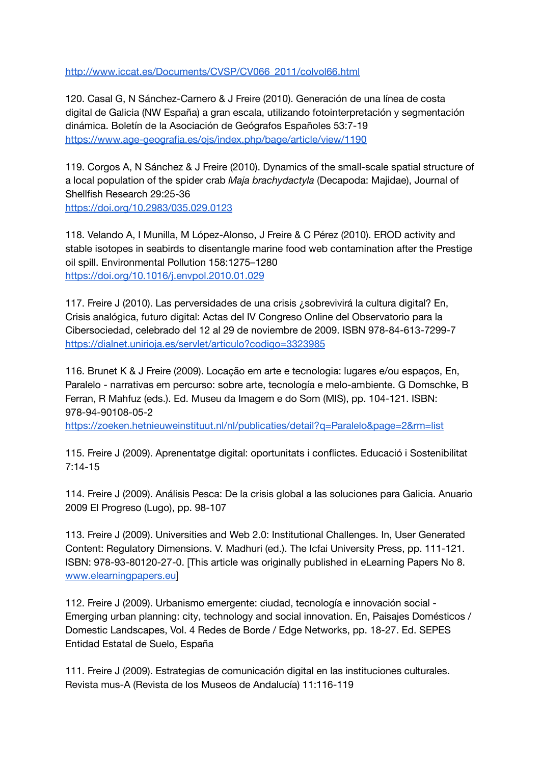[http://www.iccat.es/Documents/CVSP/CV066\\_2011/colvol66.html](http://www.iccat.es/Documents/CVSP/CV066_2011/colvol66.html)

120. Casal G, N Sánchez-Carnero & J Freire (2010). Generación de una línea de costa digital de Galicia (NW España) a gran escala, utilizando fotointerpretación y segmentación dinámica. Boletín de la Asociación de Geógrafos Españoles 53:7-19 <https://www.age-geografia.es/ojs/index.php/bage/article/view/1190>

119. Corgos A, N Sánchez & J Freire (2010). Dynamics of the small-scale spatial structure of a local population of the spider crab *Maja brachydactyla* (Decapoda: Majidae), Journal of Shellfish Research 29:25-36 <https://doi.org/10.2983/035.029.0123>

118. Velando A, I Munilla, M López-Alonso, J Freire & C Pérez (2010). EROD activity and stable isotopes in seabirds to disentangle marine food web contamination after the Prestige oil spill. Environmental Pollution 158:1275–1280 <https://doi.org/10.1016/j.envpol.2010.01.029>

117. Freire J (2010). Las perversidades de una crisis ¿sobrevivirá la cultura digital? En, Crisis analógica, futuro digital: Actas del IV Congreso Online del Observatorio para la Cibersociedad, celebrado del 12 al 29 de noviembre de 2009. ISBN 978-84-613-7299-7 <https://dialnet.unirioja.es/servlet/articulo?codigo=3323985>

116. Brunet K & J Freire (2009). Locação em arte e tecnologia: lugares e/ou espaços, En, Paralelo - narrativas em percurso: sobre arte, tecnología e melo-ambiente. G Domschke, B Ferran, R Mahfuz (eds.). Ed. Museu da Imagem e do Som (MIS), pp. 104-121. ISBN: 978-94-90108-05-2

<https://zoeken.hetnieuweinstituut.nl/nl/publicaties/detail?q=Paralelo&page=2&rm=list>

115. Freire J (2009). Aprenentatge digital: oportunitats i conflictes. Educació i Sostenibilitat 7:14-15

114. Freire J (2009). Análisis Pesca: De la crisis global a las soluciones para Galicia. Anuario 2009 El Progreso (Lugo), pp. 98-107

113. Freire J (2009). Universities and Web 2.0: Institutional Challenges. In, User Generated Content: Regulatory Dimensions. V. Madhuri (ed.). The Icfai University Press, pp. 111-121. ISBN: 978-93-80120-27-0. [This article was originally published in eLearning Papers No 8. [www.elearningpapers.eu\]](http://www.elearningpapers.eu)

112. Freire J (2009). Urbanismo emergente: ciudad, tecnología e innovación social - Emerging urban planning: city, technology and social innovation. En, Paisajes Domésticos / Domestic Landscapes, Vol. 4 Redes de Borde / Edge Networks, pp. 18-27. Ed. SEPES Entidad Estatal de Suelo, España

111. Freire J (2009). Estrategias de comunicación digital en las instituciones culturales. Revista mus-A (Revista de los Museos de Andalucía) 11:116-119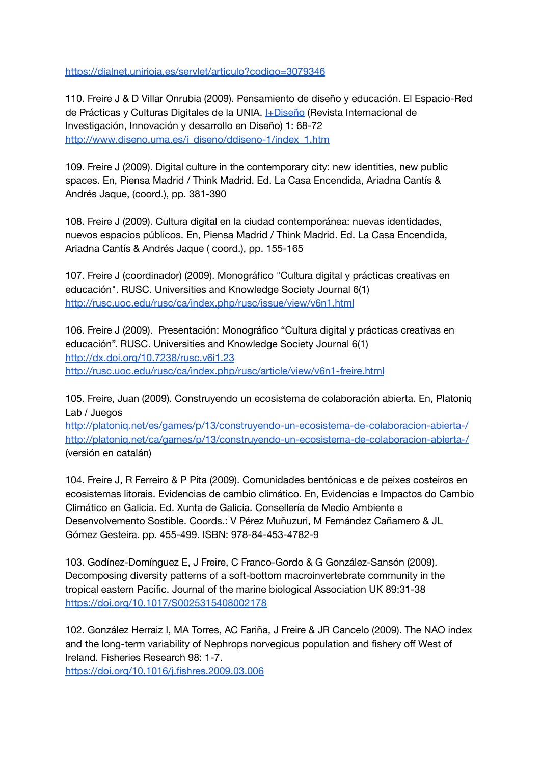<https://dialnet.unirioja.es/servlet/articulo?codigo=3079346>

110. Freire J & D Villar Onrubia (2009). Pensamiento de diseño y educación. El Espacio-Red de Prácticas y Culturas Digitales de la UNIA. *HDiseño* (Revista Internacional de Investigación, Innovación y desarrollo en Diseño) 1: 68-72 [http://www.diseno.uma.es/i\\_diseno/ddiseno-1/index\\_1.htm](http://www.diseno.uma.es/i_diseno/ddiseno-1/index_1.htm)

109. Freire J (2009). Digital culture in the contemporary city: new identities, new public spaces. En, Piensa Madrid / Think Madrid. Ed. La Casa Encendida, Ariadna Cantís & Andrés Jaque, (coord.), pp. 381-390

108. Freire J (2009). Cultura digital en la ciudad contemporánea: nuevas identidades, nuevos espacios públicos. En, Piensa Madrid / Think Madrid. Ed. La Casa Encendida, Ariadna Cantís & Andrés Jaque ( coord.), pp. 155-165

107. Freire J (coordinador) (2009). Monográfico "Cultura digital y prácticas creativas en educación". RUSC. Universities and Knowledge Society Journal 6(1) <http://rusc.uoc.edu/rusc/ca/index.php/rusc/issue/view/v6n1.html>

106. Freire J (2009). Presentación: Monográfico "Cultura digital y prácticas creativas en educación". RUSC. Universities and Knowledge Society Journal 6(1) <http://dx.doi.org/10.7238/rusc.v6i1.23> <http://rusc.uoc.edu/rusc/ca/index.php/rusc/article/view/v6n1-freire.html>

105. Freire, Juan (2009). Construyendo un ecosistema de colaboración abierta. En[,](http://www.youcoop.org/) Platoniq Lab / Juegos

<http://platoniq.net/es/games/p/13/construyendo-un-ecosistema-de-colaboracion-abierta-/> <http://platoniq.net/ca/games/p/13/construyendo-un-ecosistema-de-colaboracion-abierta-/> (versión en catalán)

104. Freire J, R Ferreiro & P Pita (2009). Comunidades bentónicas e de peixes costeiros en ecosistemas litorais. Evidencias de cambio climático. En, Evidencias e Impactos do Cambio Climático en Galicia. Ed. Xunta de Galicia. Consellería de Medio Ambiente e Desenvolvemento Sostible. Coords.: V Pérez Muñuzuri, M Fernández Cañamero & JL Gómez Gesteira. pp. 455-499. ISBN: 978-84-453-4782-9

103. Godínez-Domínguez E, J Freire, C Franco-Gordo & G González-Sansón (2009). Decomposing diversity patterns of a soft-bottom macroinvertebrate community in the tropical eastern Pacific. Journal of the marine biological Association UK 89:31-38 <https://doi.org/10.1017/S0025315408002178>

102. González Herraiz I, MA Torres, AC Fariña, J Freire & JR Cancelo (2009). The NAO index and the long-term variability of Nephrops norvegicus population and fishery off West of Ireland. Fisheries Research 98: 1-7.

<https://doi.org/10.1016/j.fishres.2009.03.006>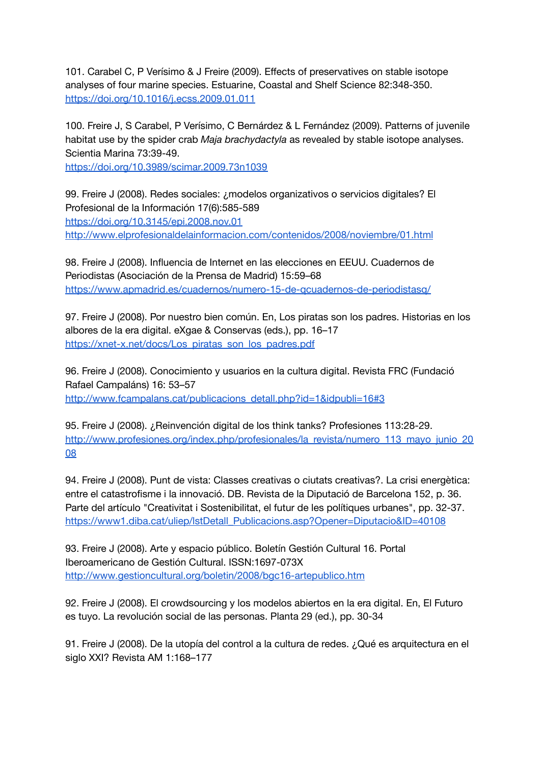101. Carabel C, P Verísimo & J Freire (2009). Effects of preservatives on stable isotope analyses of four marine species. Estuarine, Coastal and Shelf Science 82:348-350. <https://doi.org/10.1016/j.ecss.2009.01.011>

100. Freire J, S Carabel, P Verísimo, C Bernárdez & L Fernández (2009). Patterns of juvenile habitat use by the spider crab *Maja brachydactyla* as revealed by stable isotope analyses. Scientia Marina 73:39-49.

<https://doi.org/10.3989/scimar.2009.73n1039>

99. Freire J (2008). Redes sociales: ¿modelos organizativos o servicios digitales? El Profesional de la Información 17(6):585-589 <https://doi.org/10.3145/epi.2008.nov.01> <http://www.elprofesionaldelainformacion.com/contenidos/2008/noviembre/01.html>

98. Freire J (2008). Influencia de Internet en las elecciones en EEUU. Cuadernos de Periodistas (Asociación de la Prensa de Madrid) 15:59–68 <https://www.apmadrid.es/cuadernos/numero-15-de-qcuadernos-de-periodistasq/>

97. Freire J (2008). Por nuestro bien común. En, Los piratas son los padres. Historias en los albores de la era digital. eXgae & Conservas (eds.), pp. 16–17 [https://xnet-x.net/docs/Los\\_piratas\\_son\\_los\\_padres.pdf](https://xnet-x.net/docs/Los_piratas_son_los_padres.pdf)

96. Freire J (2008). Conocimiento y usuarios en la cultura digital. Revista FRC (Fundació Rafael Campaláns) 16: 53–57 [http://www.fcampalans.cat/publicacions\\_detall.php?id=1&idpubli=16#3](http://www.fcampalans.cat/publicacions_detall.php?id=1&idpubli=16#3)

95. Freire J (2008). ¿Reinvención digital de los think tanks? Profesiones 113:28-29. [http://www.profesiones.org/index.php/profesionales/la\\_revista/numero\\_113\\_mayo\\_junio\\_20](http://www.profesiones.org/index.php/profesionales/la_revista/numero_113_mayo_junio_2008) [08](http://www.profesiones.org/index.php/profesionales/la_revista/numero_113_mayo_junio_2008)

94. Freire J (2008). Punt de vista: Classes creativas o ciutats creativas?. La crisi energètica: entre el catastrofisme i la innovació. DB. Revista de la Diputació de Barcelona 152, p. 36. Parte del artículo "Creativitat i Sostenibilitat, el futur de les polítiques urbanes", pp. 32-37. [https://www1.diba.cat/uliep/lstDetall\\_Publicacions.asp?Opener=Diputacio&ID=40108](https://www1.diba.cat/uliep/lstDetall_Publicacions.asp?Opener=Diputacio&ID=40108)

93. Freire J (2008). Arte y espacio público. Boletín Gestión Cultural 16. Portal Iberoamericano de Gestión Cultural. ISSN:1697-073X <http://www.gestioncultural.org/boletin/2008/bgc16-artepublico.htm>

92. Freire J (2008). El crowdsourcing y los modelos abiertos en la era digital. En, El Futuro es tuyo. La revolución social de las personas. Planta 29 (ed.), pp. 30-34

91. Freire J (2008). De la utopía del control a la cultura de redes. ¿Qué es arquitectura en el siglo XXI? Revista AM 1:168–177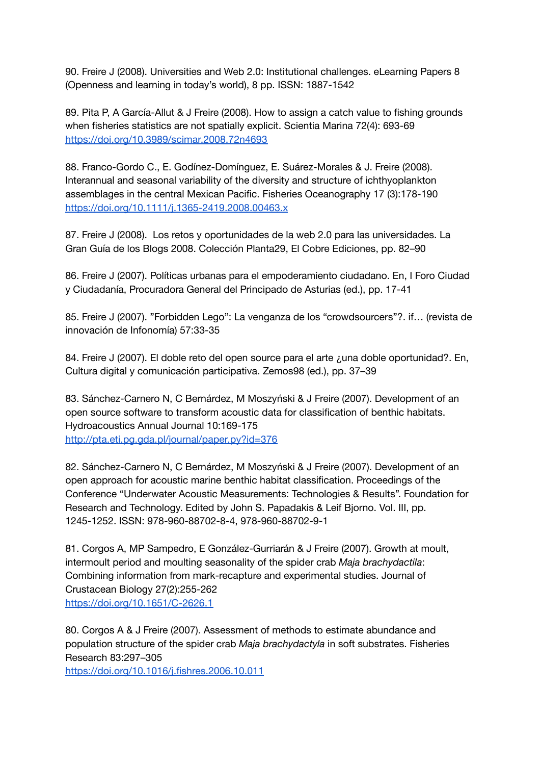90. Freire J (2008). Universities and Web 2.0: Institutional challenges. eLearning Papers 8 (Openness and learning in today's world), 8 pp. ISSN: 1887-1542

89. Pita P, A García-Allut & J Freire (2008). How to assign a catch value to fishing grounds when fisheries statistics are not spatially explicit. Scientia Marina 72(4): 693-69 <https://doi.org/10.3989/scimar.2008.72n4693>

88. Franco-Gordo C., E. Godínez-Domínguez, E. Suárez-Morales & J. Freire (2008). Interannual and seasonal variability of the diversity and structure of ichthyoplankton assemblages in the central Mexican Pacific. Fisheries Oceanography 17 (3):178-190 <https://doi.org/10.1111/j.1365-2419.2008.00463.x>

87. Freire J (2008). Los retos y oportunidades de la web 2.0 para las universidades. La Gran Guía de los Blogs 2008. Colección Planta29, El Cobre Ediciones, pp. 82–90

86. Freire J (2007). Políticas urbanas para el empoderamiento ciudadano. En, I Foro Ciudad y Ciudadanía, Procuradora General del Principado de Asturias (ed.), pp. 17-41

85. Freire J (2007). "Forbidden Lego": La venganza de los "crowdsourcers"?. if… (revista de innovación de Infonomía) 57:33-35

84. Freire J (2007). El doble reto del open source para el arte ¿una doble oportunidad?. En, Cultura digital y comunicación participativa. Zemos98 (ed.), pp. 37–39

83. Sánchez-Carnero N, C Bernárdez, M Moszyński & J Freire (2007). Development of an open source software to transform acoustic data for classification of benthic habitats. Hydroacoustics Annual Journal 10:169-175 <http://pta.eti.pg.gda.pl/journal/paper.py?id=376>

82. Sánchez-Carnero N, C Bernárdez, M Moszyński & J Freire (2007). Development of an open approach for acoustic marine benthic habitat classification. Proceedings of the Conference "Underwater Acoustic Measurements: Technologies & Results". Foundation for Research and Technology. Edited by John S. Papadakis & Leif Bjorno. Vol. III, pp. 1245-1252. ISSN: 978-960-88702-8-4, 978-960-88702-9-1

81. Corgos A, MP Sampedro, E González-Gurriarán & J Freire (2007). Growth at moult, intermoult period and moulting seasonality of the spider crab *Maja brachydactila*: Combining information from mark-recapture and experimental studies. Journal of Crustacean Biology 27(2):255-262 <https://doi.org/10.1651/C-2626.1>

80. Corgos A & J Freire (2007). Assessment of methods to estimate abundance and population structure of the spider crab *Maja brachydactyla* in soft substrates. Fisheries Research 83:297–305

<https://doi.org/10.1016/j.fishres.2006.10.011>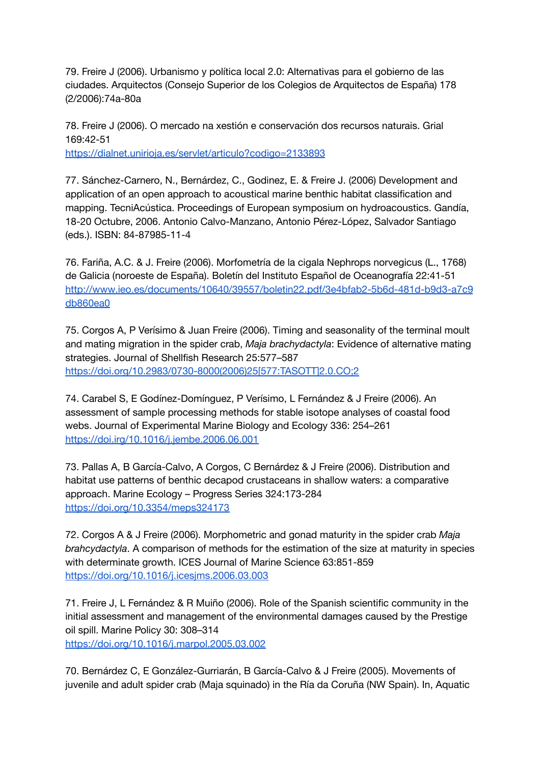79. Freire J (2006). Urbanismo y política local 2.0: Alternativas para el gobierno de las ciudades. Arquitectos (Consejo Superior de los Colegios de Arquitectos de España) 178 (2/2006):74a-80a

78. Freire J (2006). O mercado na xestión e conservación dos recursos naturais. Grial 169:42-51 <https://dialnet.unirioja.es/servlet/articulo?codigo=2133893>

77. Sánchez-Carnero, N., Bernárdez, C., Godinez, E. & Freire J. (2006) Development and application of an open approach to acoustical marine benthic habitat classification and mapping. TecniAcústica. Proceedings of European symposium on hydroacoustics. Gandía, 18-20 Octubre, 2006. Antonio Calvo-Manzano, Antonio Pérez-López, Salvador Santiago (eds.). ISBN: 84-87985-11-4

76. Fariña, A.C. & J. Freire (2006). Morfometría de la cigala Nephrops norvegicus (L., 1768) de Galicia (noroeste de España). Boletín del Instituto Español de Oceanografía 22:41-51 [http://www.ieo.es/documents/10640/39557/boletin22.pdf/3e4bfab2-5b6d-481d-b9d3-a7c9](http://www.ieo.es/documents/10640/39557/boletin22.pdf/3e4bfab2-5b6d-481d-b9d3-a7c9db860ea0) [db860ea0](http://www.ieo.es/documents/10640/39557/boletin22.pdf/3e4bfab2-5b6d-481d-b9d3-a7c9db860ea0)

75. Corgos A, P Verísimo & Juan Freire (2006). Timing and seasonality of the terminal moult and mating migration in the spider crab, *Maja brachydactyla*: Evidence of alternative mating strategies. Journal of Shellfish Research 25:577–587 [https://doi.org/10.2983/0730-8000\(2006\)25\[577:TASOTT\]2.0.CO;2](https://doi.org/10.2983/0730-8000(2006)25[577:TASOTT]2.0.CO;2)

74. Carabel S, E Godínez-Domínguez, P Verísimo, L Fernández & J Freire (2006). An assessment of sample processing methods for stable isotope analyses of coastal food webs. Journal of Experimental Marine Biology and Ecology 336: 254–261 <https://doi.irg/10.1016/j.jembe.2006.06.001>

73. Pallas A, B García-Calvo, A Corgos, C Bernárdez & J Freire (2006). Distribution and habitat use patterns of benthic decapod crustaceans in shallow waters: a comparative approach. Marine Ecology – Progress Series 324:173-284 <https://doi.org/10.3354/meps324173>

72. Corgos A & J Freire (2006). Morphometric and gonad maturity in the spider crab *Maja brahcydactyla*. A comparison of methods for the estimation of the size at maturity in species with determinate growth. ICES Journal of Marine Science 63:851-859 <https://doi.org/10.1016/j.icesjms.2006.03.003>

71. Freire J, L Fernández & R Muiño (2006). Role of the Spanish scientific community in the initial assessment and management of the environmental damages caused by the Prestige oil spill. Marine Policy 30: 308–314 <https://doi.org/10.1016/j.marpol.2005.03.002>

70. Bernárdez C, E González-Gurriarán, B García-Calvo & J Freire (2005). Movements of juvenile and adult spider crab (Maja squinado) in the Ría da Coruña (NW Spain). In, Aquatic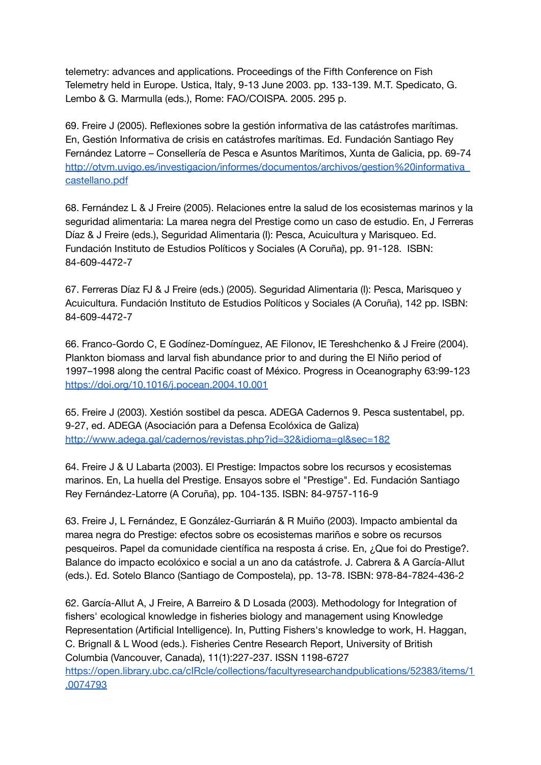telemetry: advances and applications. Proceedings of the Fifth Conference on Fish Telemetry held in Europe. Ustica, Italy, 9-13 June 2003. pp. 133-139. M.T. Spedicato, G. Lembo & G. Marmulla (eds.), Rome: FAO/COISPA. 2005. 295 p.

69. Freire J (2005). Reflexiones sobre la gestión informativa de las catástrofes marítimas. En, Gestión Informativa de crisis en catástrofes marítimas. Ed. Fundación Santiago Rey Fernández Latorre – Consellería de Pesca e Asuntos Marítimos, Xunta de Galicia, pp. 69-74 [http://otvm.uvigo.es/investigacion/informes/documentos/archivos/gestion%20informativa\\_](http://otvm.uvigo.es/investigacion/informes/documentos/archivos/gestion%20informativa_castellano.pdf) [castellano.pdf](http://otvm.uvigo.es/investigacion/informes/documentos/archivos/gestion%20informativa_castellano.pdf)

68. Fernández L & J Freire (2005). Relaciones entre la salud de los ecosistemas marinos y la seguridad alimentaria: La marea negra del Prestige como un caso de estudio. En, J Ferreras Díaz & J Freire (eds.), Seguridad Alimentaria (I): Pesca, Acuicultura y Marisqueo. Ed. Fundación Instituto de Estudios Políticos y Sociales (A Coruña), pp. 91-128. ISBN: 84-609-4472-7

67. Ferreras Díaz FJ & J Freire (eds.) (2005). Seguridad Alimentaria (I): Pesca, Marisqueo y Acuicultura. Fundación Instituto de Estudios Políticos y Sociales (A Coruña), 142 pp. ISBN: 84-609-4472-7

66. Franco-Gordo C, E Godínez-Domínguez, AE Filonov, IE Tereshchenko & J Freire (2004). Plankton biomass and larval fish abundance prior to and during the El Niño period of 1997–1998 along the central Pacific coast of México. Progress in Oceanography 63:99-123 <https://doi.org/10.1016/j.pocean.2004.10.001>

65. Freire J (2003). Xestión sostibel da pesca. ADEGA Cadernos 9. Pesca sustentabel, pp. 9-27, ed. ADEGA (Asociación para a Defensa Ecolóxica de Galiza) <http://www.adega.gal/cadernos/revistas.php?id=32&idioma=gl&sec=182>

64. Freire J & U Labarta (2003). El Prestige: Impactos sobre los recursos y ecosistemas marinos. En, La huella del Prestige. Ensayos sobre el "Prestige". Ed. Fundación Santiago Rey Fernández-Latorre (A Coruña), pp. 104-135. ISBN: 84-9757-116-9

63. Freire J, L Fernández, E González-Gurriarán & R Muiño (2003). Impacto ambiental da marea negra do Prestige: efectos sobre os ecosistemas mariños e sobre os recursos pesqueiros. Papel da comunidade científica na resposta á crise. En, ¿Que foi do Prestige?. Balance do impacto ecolóxico e social a un ano da catástrofe. J. Cabrera & A García-Allut (eds.). Ed. Sotelo Blanco (Santiago de Compostela), pp. 13-78. ISBN: 978-84-7824-436-2

62. García-Allut A, J Freire, A Barreiro & D Losada (2003). Methodology for Integration of fishers' ecological knowledge in fisheries biology and management using Knowledge Representation (Artificial Intelligence). In, Putting Fishers's knowledge to work, H. Haggan, C. Brignall & L Wood (eds.). Fisheries Centre Research Report, University of British Columbia (Vancouver, Canada), 11(1):227-237. ISSN 1198-6727 [https://open.library.ubc.ca/cIRcle/collections/facultyresearchandpublications/52383/items/1](https://open.library.ubc.ca/cIRcle/collections/facultyresearchandpublications/52383/items/1.0074793) [.0074793](https://open.library.ubc.ca/cIRcle/collections/facultyresearchandpublications/52383/items/1.0074793)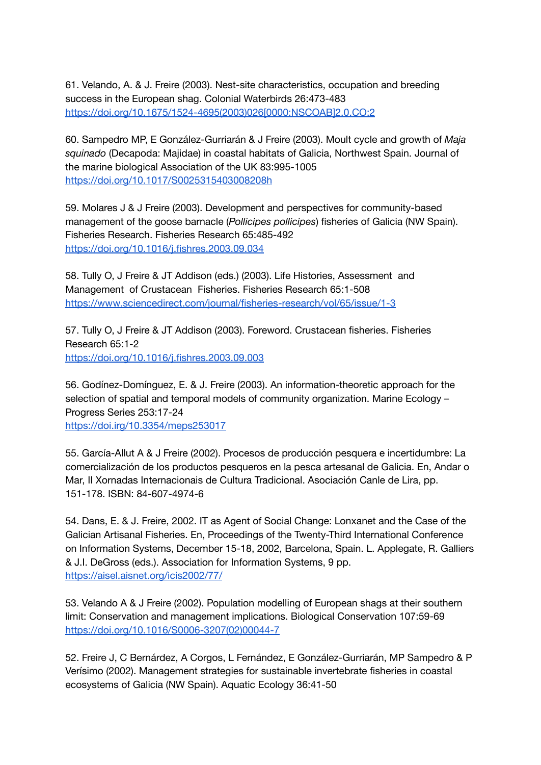61. Velando, A. & J. Freire (2003). Nest-site characteristics, occupation and breeding success in the European shag. Colonial Waterbirds 26:473-483 [https://doi.org/10.1675/1524-4695\(2003\)026\[0000:NSCOAB\]2.0.CO;2](https://doi.org/10.1675/1524-4695(2003)026[0000:NSCOAB]2.0.CO;2)

60. Sampedro MP, E González-Gurriarán & J Freire (2003). Moult cycle and growth of *Maja squinado* (Decapoda: Majidae) in coastal habitats of Galicia, Northwest Spain. Journal of the marine biological Association of the UK 83:995-1005 <https://doi.org/10.1017/S0025315403008208h>

59. Molares J & J Freire (2003). Development and perspectives for community-based management of the goose barnacle (*Pollicipes pollicipes*) fisheries of Galicia (NW Spain). Fisheries Research. Fisheries Research 65:485-492 <https://doi.org/10.1016/j.fishres.2003.09.034>

58. Tully O, J Freire & JT Addison (eds.) (2003). Life Histories, Assessment and Management of Crustacean Fisheries. Fisheries Research 65:1-508 <https://www.sciencedirect.com/journal/fisheries-research/vol/65/issue/1-3>

57. Tully O, J Freire & JT Addison (2003). Foreword. Crustacean fisheries. Fisheries Research 65:1-2 <https://doi.org/10.1016/j.fishres.2003.09.003>

56. Godínez-Domínguez, E. & J. Freire (2003). An information-theoretic approach for the selection of spatial and temporal models of community organization. Marine Ecology – Progress Series 253:17-24 <https://doi.irg/10.3354/meps253017>

55. García-Allut A & J Freire (2002). Procesos de producción pesquera e incertidumbre: La comercialización de los productos pesqueros en la pesca artesanal de Galicia. En, Andar o Mar, II Xornadas Internacionais de Cultura Tradicional. Asociación Canle de Lira, pp. 151-178. ISBN: 84-607-4974-6

54. Dans, E. & J. Freire, 2002. IT as Agent of Social Change: Lonxanet and the Case of the Galician Artisanal Fisheries. En, Proceedings of the Twenty-Third International Conference on Information Systems, December 15-18, 2002, Barcelona, Spain. L. Applegate, R. Galliers & J.I. DeGross (eds.). Association for Information Systems, 9 pp. <https://aisel.aisnet.org/icis2002/77/>

53. Velando A & J Freire (2002). Population modelling of European shags at their southern limit: Conservation and management implications. Biological Conservation 107:59-69 [https://doi.org/10.1016/S0006-3207\(02\)00044-7](https://doi.org/10.1016/S0006-3207(02)00044-7)

52. Freire J, C Bernárdez, A Corgos, L Fernández, E González-Gurriarán, MP Sampedro & P Verísimo (2002). Management strategies for sustainable invertebrate fisheries in coastal ecosystems of Galicia (NW Spain). Aquatic Ecology 36:41-50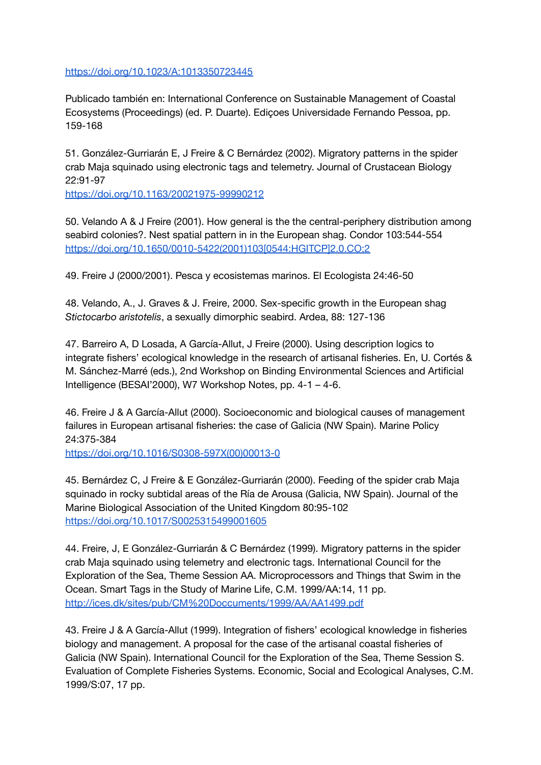<https://doi.org/10.1023/A:1013350723445>

Publicado también en: International Conference on Sustainable Management of Coastal Ecosystems (Proceedings) (ed. P. Duarte). Ediçoes Universidade Fernando Pessoa, pp. 159-168

51. González-Gurriarán E, J Freire & C Bernárdez (2002). Migratory patterns in the spider crab Maja squinado using electronic tags and telemetry. Journal of Crustacean Biology 22:91-97

<https://doi.org/10.1163/20021975-99990212>

50. Velando A & J Freire (2001). How general is the the central-periphery distribution among seabird colonies?. Nest spatial pattern in in the European shag. Condor 103:544-554 [https://doi.org/10.1650/0010-5422\(2001\)103\[0544:HGITCP\]2.0.CO;2](https://doi.org/10.1650/0010-5422(2001)103[0544:HGITCP]2.0.CO;2)

49. Freire J (2000/2001). Pesca y ecosistemas marinos. El Ecologista 24:46-50

48. Velando, A., J. Graves & J. Freire, 2000. Sex-specific growth in the European shag *Stictocarbo aristotelis*, a sexually dimorphic seabird. Ardea, 88: 127-136

47. Barreiro A, D Losada, A García-Allut, J Freire (2000). Using description logics to integrate fishers' ecological knowledge in the research of artisanal fisheries. En, U. Cortés & M. Sánchez-Marré (eds.), 2nd Workshop on Binding Environmental Sciences and Artificial Intelligence (BESAI'2000), W7 Workshop Notes, pp. 4-1 – 4-6.

46. Freire J & A García-Allut (2000). Socioeconomic and biological causes of management failures in European artisanal fisheries: the case of Galicia (NW Spain). Marine Policy 24:375-384

[https://doi.org/10.1016/S0308-597X\(00\)00013-0](https://doi.org/10.1016/S0308-597X(00)00013-0)

45. Bernárdez C, J Freire & E González-Gurriarán (2000). Feeding of the spider crab Maja squinado in rocky subtidal areas of the Ría de Arousa (Galicia, NW Spain). Journal of the Marine Biological Association of the United Kingdom 80:95-102 <https://doi.org/10.1017/S0025315499001605>

44. Freire, J, E González-Gurriarán & C Bernárdez (1999). Migratory patterns in the spider crab Maja squinado using telemetry and electronic tags. International Council for the Exploration of the Sea, Theme Session AA. Microprocessors and Things that Swim in the Ocean. Smart Tags in the Study of Marine Life, C.M. 1999/AA:14, 11 pp. <http://ices.dk/sites/pub/CM%20Doccuments/1999/AA/AA1499.pdf>

43. Freire J & A García-Allut (1999). Integration of fishers' ecological knowledge in fisheries biology and management. A proposal for the case of the artisanal coastal fisheries of Galicia (NW Spain). International Council for the Exploration of the Sea, Theme Session S. Evaluation of Complete Fisheries Systems. Economic, Social and Ecological Analyses, C.M. 1999/S:07, 17 pp.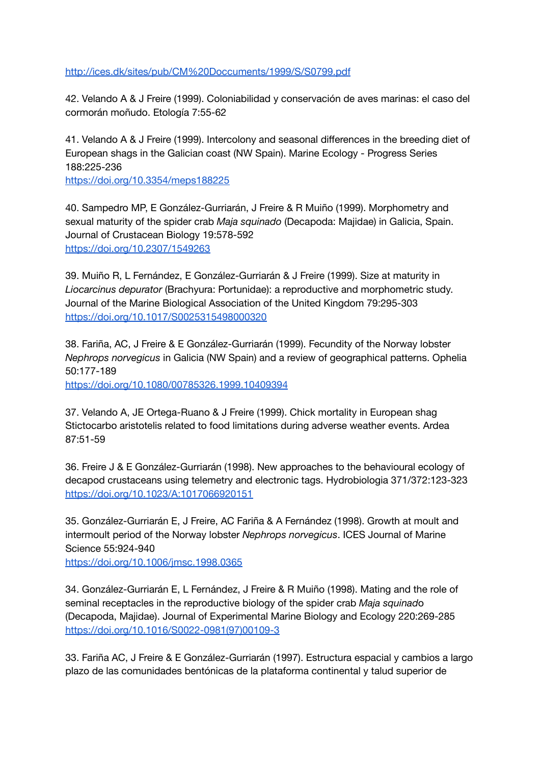<http://ices.dk/sites/pub/CM%20Doccuments/1999/S/S0799.pdf>

42. Velando A & J Freire (1999). Coloniabilidad y conservación de aves marinas: el caso del cormorán moñudo. Etología 7:55-62

41. Velando A & J Freire (1999). Intercolony and seasonal differences in the breeding diet of European shags in the Galician coast (NW Spain). Marine Ecology - Progress Series 188:225-236

<https://doi.org/10.3354/meps188225>

40. Sampedro MP, E González-Gurriarán, J Freire & R Muiño (1999). Morphometry and sexual maturity of the spider crab *Maja squinado* (Decapoda: Majidae) in Galicia, Spain. Journal of Crustacean Biology 19:578-592 <https://doi.org/10.2307/1549263>

39. Muiño R, L Fernández, E González-Gurriarán & J Freire (1999). Size at maturity in *Liocarcinus depurator* (Brachyura: Portunidae): a reproductive and morphometric study. Journal of the Marine Biological Association of the United Kingdom 79:295-303 <https://doi.org/10.1017/S0025315498000320>

38. Fariña, AC, J Freire & E González-Gurriarán (1999). Fecundity of the Norway lobster *Nephrops norvegicus* in Galicia (NW Spain) and a review of geographical patterns. Ophelia 50:177-189

<https://doi.org/10.1080/00785326.1999.10409394>

37. Velando A, JE Ortega-Ruano & J Freire (1999). Chick mortality in European shag Stictocarbo aristotelis related to food limitations during adverse weather events. Ardea 87:51-59

36. Freire J & E González-Gurriarán (1998). New approaches to the behavioural ecology of decapod crustaceans using telemetry and electronic tags. Hydrobiologia 371/372:123-323 <https://doi.org/10.1023/A:1017066920151>

35. González-Gurriarán E, J Freire, AC Fariña & A Fernández (1998). Growth at moult and intermoult period of the Norway lobster *Nephrops norvegicus*. ICES Journal of Marine Science 55:924-940

<https://doi.org/10.1006/jmsc.1998.0365>

34. González-Gurriarán E, L Fernández, J Freire & R Muiño (1998). Mating and the role of seminal receptacles in the reproductive biology of the spider crab *Maja squinad*o (Decapoda, Majidae). Journal of Experimental Marine Biology and Ecology 220:269-285 [https://doi.org/10.1016/S0022-0981\(97\)00109-3](https://doi.org/10.1016/S0022-0981(97)00109-3)

33. Fariña AC, J Freire & E González-Gurriarán (1997). Estructura espacial y cambios a largo plazo de las comunidades bentónicas de la plataforma continental y talud superior de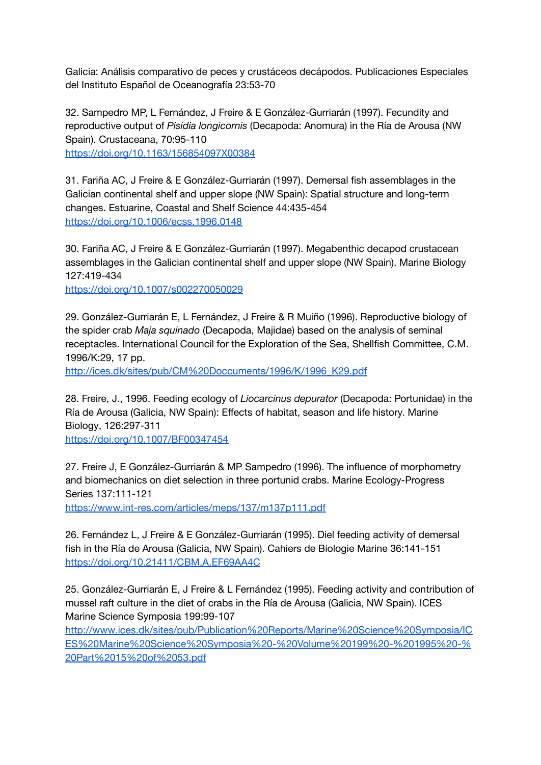Galicia: Análisis comparativo de peces y crustáceos decápodos. Publicaciones Especiales del Instituto Español de Oceanografía 23:53-70

32. Sampedro MP, L Fernández, J Freire & E González-Gurriarán (1997). Fecundity and reproductive output of *Pisidia longicornis* (Decapoda: Anomura) in the Ría de Arousa (NW Spain). Crustaceana, 70:95-110

<https://doi.org/10.1163/156854097X00384>

31. Fariña AC, J Freire & E González-Gurriarán (1997). Demersal fish assemblages in the Galician continental shelf and upper slope (NW Spain): Spatial structure and long-term changes. Estuarine, Coastal and Shelf Science 44:435-454 <https://doi.org/10.1006/ecss.1996.0148>

30. Fariña AC, J Freire & E González-Gurriarán (1997). Megabenthic decapod crustacean assemblages in the Galician continental shelf and upper slope (NW Spain). Marine Biology 127:419-434

<https://doi.org/10.1007/s002270050029>

29. González-Gurriarán E, L Fernández, J Freire & R Muiño (1996). Reproductive biology of the spider crab *Maja squinado* (Decapoda, Majidae) based on the analysis of seminal receptacles. International Council for the Exploration of the Sea, Shellfish Committee, C.M. 1996/K:29, 17 pp.

[http://ices.dk/sites/pub/CM%20Doccuments/1996/K/1996\\_K29.pdf](http://ices.dk/sites/pub/CM%20Doccuments/1996/K/1996_K29.pdf)

28. Freire, J., 1996. Feeding ecology of *Liocarcinus depurator* (Decapoda: Portunidae) in the Ría de Arousa (Galicia, NW Spain): Effects of habitat, season and life history. Marine Biology, 126:297-311

<https://doi.org/10.1007/BF00347454>

27. Freire J, E González-Gurriarán & MP Sampedro (1996). The influence of morphometry and biomechanics on diet selection in three portunid crabs. Marine Ecology-Progress Series 137:111-121

<https://www.int-res.com/articles/meps/137/m137p111.pdf>

26. Fernández L, J Freire & E González-Gurriarán (1995). Diel feeding activity of demersal fish in the Ría de Arousa (Galicia, NW Spain). Cahiers de Biologie Marine 36:141-151 <https://doi.org/10.21411/CBM.A.EF69AA4C>

25. González-Gurriarán E, J Freire & L Fernández (1995). Feeding activity and contribution of mussel raft culture in the diet of crabs in the Ría de Arousa (Galicia, NW Spain). ICES Marine Science Symposia 199:99-107

[http://www.ices.dk/sites/pub/Publication%20Reports/Marine%20Science%20Symposia/IC](http://www.ices.dk/sites/pub/Publication%20Reports/Marine%20Science%20Symposia/ICES%20Marine%20Science%20Symposia%20-%20Volume%20199%20-%201995%20-%20Part%2015%20of%2053.pdf) [ES%20Marine%20Science%20Symposia%20-%20Volume%20199%20-%201995%20-%](http://www.ices.dk/sites/pub/Publication%20Reports/Marine%20Science%20Symposia/ICES%20Marine%20Science%20Symposia%20-%20Volume%20199%20-%201995%20-%20Part%2015%20of%2053.pdf) [20Part%2015%20of%2053.pdf](http://www.ices.dk/sites/pub/Publication%20Reports/Marine%20Science%20Symposia/ICES%20Marine%20Science%20Symposia%20-%20Volume%20199%20-%201995%20-%20Part%2015%20of%2053.pdf)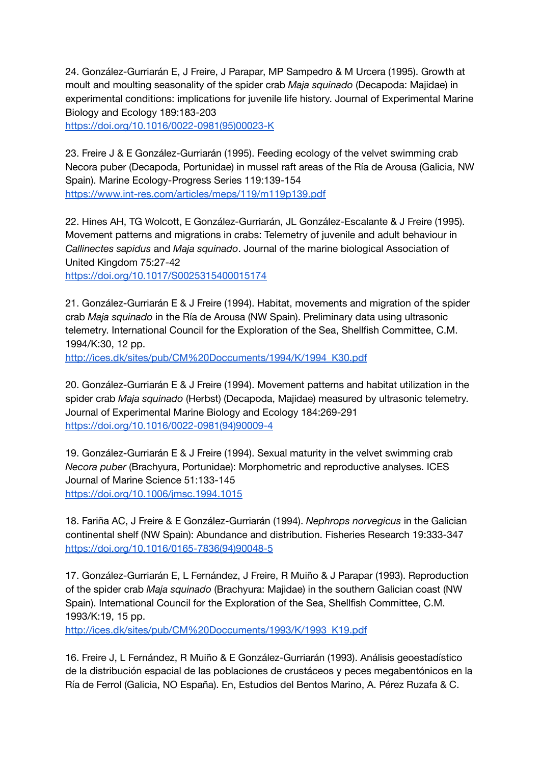24. González-Gurriarán E, J Freire, J Parapar, MP Sampedro & M Urcera (1995). Growth at moult and moulting seasonality of the spider crab *Maja squinado* (Decapoda: Majidae) in experimental conditions: implications for juvenile life history. Journal of Experimental Marine Biology and Ecology 189:183-203

[https://doi.org/10.1016/0022-0981\(95\)00023-K](https://doi.org/10.1016/0022-0981(95)00023-K)

23. Freire J & E González-Gurriarán (1995). Feeding ecology of the velvet swimming crab Necora puber (Decapoda, Portunidae) in mussel raft areas of the Ría de Arousa (Galicia, NW Spain). Marine Ecology-Progress Series 119:139-154 <https://www.int-res.com/articles/meps/119/m119p139.pdf>

22. Hines AH, TG Wolcott, E González-Gurriarán, JL González-Escalante & J Freire (1995). Movement patterns and migrations in crabs: Telemetry of juvenile and adult behaviour in *Callinectes sapidus* and *Maja squinado*. Journal of the marine biological Association of United Kingdom 75:27-42

<https://doi.org/10.1017/S0025315400015174>

21. González-Gurriarán E & J Freire (1994). Habitat, movements and migration of the spider crab *Maja squinado* in the Ría de Arousa (NW Spain). Preliminary data using ultrasonic telemetry. International Council for the Exploration of the Sea, Shellfish Committee, C.M. 1994/K:30, 12 pp.

[http://ices.dk/sites/pub/CM%20Doccuments/1994/K/1994\\_K30.pdf](http://ices.dk/sites/pub/CM%20Doccuments/1994/K/1994_K30.pdf)

20. González-Gurriarán E & J Freire (1994). Movement patterns and habitat utilization in the spider crab *Maja squinado* (Herbst) (Decapoda, Majidae) measured by ultrasonic telemetry. Journal of Experimental Marine Biology and Ecology 184:269-291 [https://doi.org/10.1016/0022-0981\(94\)90009-4](https://doi.org/10.1016/0022-0981(94)90009-4)

19. González-Gurriarán E & J Freire (1994). Sexual maturity in the velvet swimming crab *Necora puber* (Brachyura, Portunidae): Morphometric and reproductive analyses. ICES Journal of Marine Science 51:133-145 <https://doi.org/10.1006/jmsc.1994.1015>

18. Fariña AC, J Freire & E González-Gurriarán (1994). *Nephrops norvegicus* in the Galician continental shelf (NW Spain): Abundance and distribution. Fisheries Research 19:333-347 [https://doi.org/10.1016/0165-7836\(94\)90048-5](https://doi.org/10.1016/0165-7836(94)90048-5)

17. González-Gurriarán E, L Fernández, J Freire, R Muiño & J Parapar (1993). Reproduction of the spider crab *Maja squinado* (Brachyura: Majidae) in the southern Galician coast (NW Spain). International Council for the Exploration of the Sea, Shellfish Committee, C.M. 1993/K:19, 15 pp.

[http://ices.dk/sites/pub/CM%20Doccuments/1993/K/1993\\_K19.pdf](http://ices.dk/sites/pub/CM%20Doccuments/1993/K/1993_K19.pdf)

16. Freire J, L Fernández, R Muiño & E González-Gurriarán (1993). Análisis geoestadístico de la distribución espacial de las poblaciones de crustáceos y peces megabentónicos en la Ría de Ferrol (Galicia, NO España). En, Estudios del Bentos Marino, A. Pérez Ruzafa & C.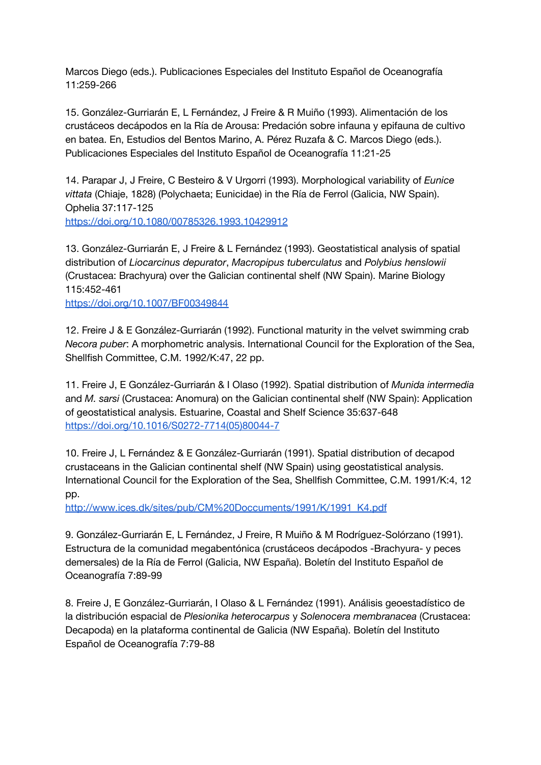Marcos Diego (eds.). Publicaciones Especiales del Instituto Español de Oceanografía 11:259-266

15. González-Gurriarán E, L Fernández, J Freire & R Muiño (1993). Alimentación de los crustáceos decápodos en la Ría de Arousa: Predación sobre infauna y epifauna de cultivo en batea. En, Estudios del Bentos Marino, A. Pérez Ruzafa & C. Marcos Diego (eds.). Publicaciones Especiales del Instituto Español de Oceanografía 11:21-25

14. Parapar J, J Freire, C Besteiro & V Urgorri (1993). Morphological variability of *Eunice vittata* (Chiaje, 1828) (Polychaeta; Eunicidae) in the Ría de Ferrol (Galicia, NW Spain). Ophelia 37:117-125 <https://doi.org/10.1080/00785326.1993.10429912>

13. González-Gurriarán E, J Freire & L Fernández (1993). Geostatistical analysis of spatial distribution of *Liocarcinus depurator*, *Macropipus tuberculatus* and *Polybius henslowii* (Crustacea: Brachyura) over the Galician continental shelf (NW Spain). Marine Biology 115:452-461

<https://doi.org/10.1007/BF00349844>

12. Freire J & E González-Gurriarán (1992). Functional maturity in the velvet swimming crab *Necora puber*: A morphometric analysis. International Council for the Exploration of the Sea, Shellfish Committee, C.M. 1992/K:47, 22 pp.

11. Freire J, E González-Gurriarán & I Olaso (1992). Spatial distribution of *Munida intermedia* and *M. sarsi* (Crustacea: Anomura) on the Galician continental shelf (NW Spain): Application of geostatistical analysis. Estuarine, Coastal and Shelf Science 35:637-648 [https://doi.org/10.1016/S0272-7714\(05\)80044-7](https://doi.org/10.1016/S0272-7714(05)80044-7)

10. Freire J, L Fernández & E González-Gurriarán (1991). Spatial distribution of decapod crustaceans in the Galician continental shelf (NW Spain) using geostatistical analysis. International Council for the Exploration of the Sea, Shellfish Committee, C.M. 1991/K:4, 12 pp.

[http://www.ices.dk/sites/pub/CM%20Doccuments/1991/K/1991\\_K4.pdf](http://www.ices.dk/sites/pub/CM%20Doccuments/1991/K/1991_K4.pdf)

9. González-Gurriarán E, L Fernández, J Freire, R Muiño & M Rodríguez-Solórzano (1991). Estructura de la comunidad megabentónica (crustáceos decápodos -Brachyura- y peces demersales) de la Ría de Ferrol (Galicia, NW España). Boletín del Instituto Español de Oceanografía 7:89-99

8. Freire J, E González-Gurriarán, I Olaso & L Fernández (1991). Análisis geoestadístico de la distribución espacial de *Plesionika heterocarpus* y *Solenocera membranacea* (Crustacea: Decapoda) en la plataforma continental de Galicia (NW España). Boletín del Instituto Español de Oceanografía 7:79-88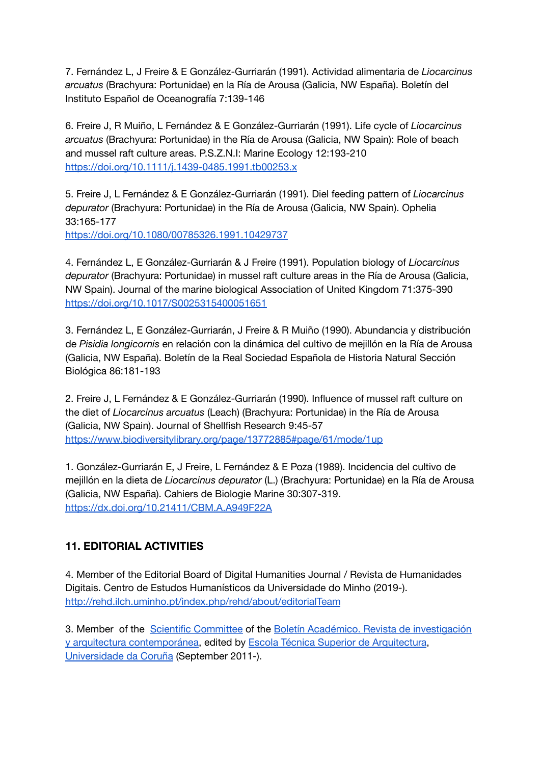7. Fernández L, J Freire & E González-Gurriarán (1991). Actividad alimentaria de *Liocarcinus arcuatus* (Brachyura: Portunidae) en la Ría de Arousa (Galicia, NW España). Boletín del Instituto Español de Oceanografía 7:139-146

6. Freire J, R Muiño, L Fernández & E González-Gurriarán (1991). Life cycle of *Liocarcinus arcuatus* (Brachyura: Portunidae) in the Ría de Arousa (Galicia, NW Spain): Role of beach and mussel raft culture areas. P.S.Z.N.I: Marine Ecology 12:193-210 <https://doi.org/10.1111/j.1439-0485.1991.tb00253.x>

5. Freire J, L Fernández & E González-Gurriarán (1991). Diel feeding pattern of *Liocarcinus depurator* (Brachyura: Portunidae) in the Ría de Arousa (Galicia, NW Spain). Ophelia 33:165-177

<https://doi.org/10.1080/00785326.1991.10429737>

4. Fernández L, E González-Gurriarán & J Freire (1991). Population biology of *Liocarcinus depurator* (Brachyura: Portunidae) in mussel raft culture areas in the Ría de Arousa (Galicia, NW Spain). Journal of the marine biological Association of United Kingdom 71:375-390 <https://doi.org/10.1017/S0025315400051651>

3. Fernández L, E González-Gurriarán, J Freire & R Muiño (1990). Abundancia y distribución de *Pisidia longicornis* en relación con la dinámica del cultivo de mejillón en la Ría de Arousa (Galicia, NW España). Boletín de la Real Sociedad Española de Historia Natural Sección Biológica 86:181-193

2. Freire J, L Fernández & E González-Gurriarán (1990). Influence of mussel raft culture on the diet of *Liocarcinus arcuatus* (Leach) (Brachyura: Portunidae) in the Ría de Arousa (Galicia, NW Spain). Journal of Shellfish Research 9:45-57 <https://www.biodiversitylibrary.org/page/13772885#page/61/mode/1up>

1. González-Gurriarán E, J Freire, L Fernández & E Poza (1989). Incidencia del cultivo de mejillón en la dieta de *Liocarcinus depurator* (L.) (Brachyura: Portunidae) en la Ría de Arousa (Galicia, NW España). Cahiers de Biologie Marine 30:307-319. <https://dx.doi.org/10.21411/CBM.A.A949F22A>

# <span id="page-36-0"></span>**11. EDITORIAL ACTIVITIES**

4. Member of the Editorial Board of Digital Humanities Journal / Revista de Humanidades Digitais. Centro de Estudos Humanísticos da Universidade do Minho (2019-). <http://rehd.ilch.uminho.pt/index.php/rehd/about/editorialTeam>

3. Member of the Scientific [Committee](http://www.boletinacademico.com/index.php/BAC/about/editorialPolicies#custom0) of the Boletín Académico. Revista de [investigación](http://boletinacademico.com/index.php/BAC/index) y arquitectura [contemporánea](http://boletinacademico.com/index.php/BAC/index), edited by Escola Técnica Superior de [Arquitectura](http://www.udc.es/etsa/), [Universidade](http://www.udc.es/) da Coruña (September 2011-).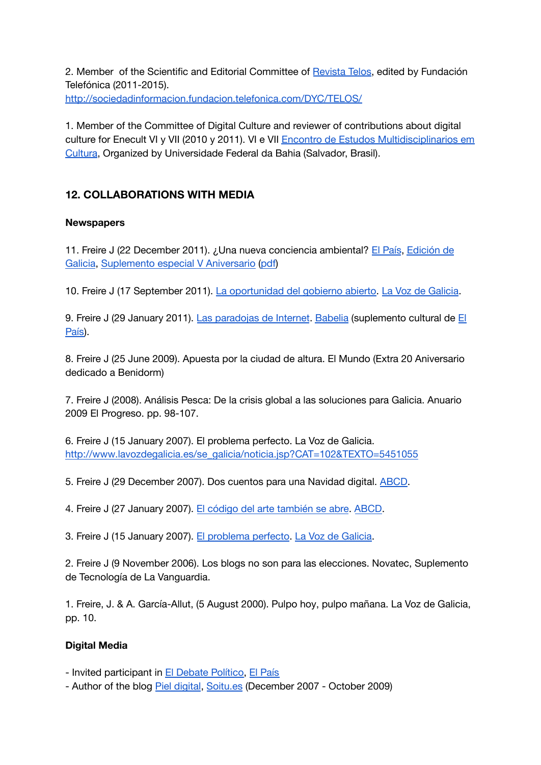2. Member of the Scientific and Editorial Committee of [Revista](http://sociedadinformacion.fundacion.telefonica.com/DYC/TELOS/) Telos, edited by Fundación Telefónica (2011-2015). <http://sociedadinformacion.fundacion.telefonica.com/DYC/TELOS/>

1. Member of the Committee of Digital Culture and reviewer of contributions about digital culture for Enecult VI y VII (2010 y 2011). VI e VII Encontro de Estudos [Multidisciplinarios](http://www.enecult.ufba.br/) em [Cultura](http://www.enecult.ufba.br/), Organized by Universidade Federal da Bahia (Salvador, Brasil).

# <span id="page-37-0"></span>**12. COLLABORATIONS WITH MEDIA**

#### **Newspapers**

11. Freire J (22 December 2011). ¿Una nueva conciencia ambiental? El [País](http://www.elpais.com/), [Edición](http://www.elpais.com/espana/galicia/) de [Galicia](http://www.elpais.com/espana/galicia/), [Suplemento](http://www.elpais.com/articulo/cultura/Especial/V/Aniversario/elpepucul/20111222elpepucul_5/Tes) especial V Aniversario [\(pdf\)](http://www.elpais.com/elpaismedia/ultimahora/media/201112/22/espana/20111222elpepunac_1_Pes_PDF.pdf)

10. Freire J (17 September 2011). La [oportunidad](http://www.lavozdegalicia.es/opinion/2011/09/17/0003_201109G17E9992.htm) del gobierno abierto. La Voz de [Galicia](http://www.lavozdegalicia.es/).

9. Freire J (29 January 2011). Las [paradojas](http://www.elpais.com/articulo/portada/paradojas/Internet/elpepuculbab/20110129elpbabpor_1/Tes) de Internet. [Babelia](http://www.elpais.com/suple/babelia/) (suplemento cultural de [El](http://www.elpais.com/articulo/arte/Museos/Sur/elpepuculbab/20081220elpbabart_3/Tes) [País\)](http://www.elpais.com/articulo/arte/Museos/Sur/elpepuculbab/20081220elpbabart_3/Tes).

8. Freire J (25 June 2009). Apuesta por la ciudad de altura. El Mundo (Extra 20 Aniversario dedicado a Benidorm)

7. Freire J (2008). Análisis Pesca: De la crisis global a las soluciones para Galicia. Anuario 2009 El Progreso. pp. 98-107.

6. Freire J (15 January 2007). El problema perfecto. La Voz de Galicia. [http://www.lavozdegalicia.es/se\\_galicia/noticia.jsp?CAT=102&TEXTO=5451055](http://www.lavozdegalicia.es/se_galicia/noticia.jsp?CAT=102&TEXTO=5451055)

5. Freire J (29 December 2007). Dos cuentos para una Navidad digital. [ABCD](http://www.abc.es/abcd/).

4. Freire J (27 January 2007). El código del arte [también](http://www.abc.es/abcd/noticia.asp?id=6312&dia=&sec=39#) se abre. [ABCD.](http://www.abc.es/abcd/)

3. Freire J (15 January 2007). El [problema](http://www.lavozdegalicia.es/se_galicia/noticia.jsp?CAT=102&TEXTO=5451055) perfecto. La Voz de [Galicia.](http://www.lavozdegalicia.es/)

2. Freire J (9 November 2006). Los blogs no son para las elecciones. Novatec, Suplemento de Tecnología de La Vanguardia.

1. Freire, J. & A. García-Allut, (5 August 2000). Pulpo hoy, pulpo mañana. La Voz de Galicia, pp. 10.

### **Digital Media**

- Invited participant in El Debate [Político,](http://politica.elpais.com/politica/eldebate.html) El [País](http://www.elpais.com/)

- Author of the blog Piel [digital](http://www.soitu.es/soitu/pieldigital.html), [Soitu.es](http://www.soitu.es/) (December 2007 - October 2009)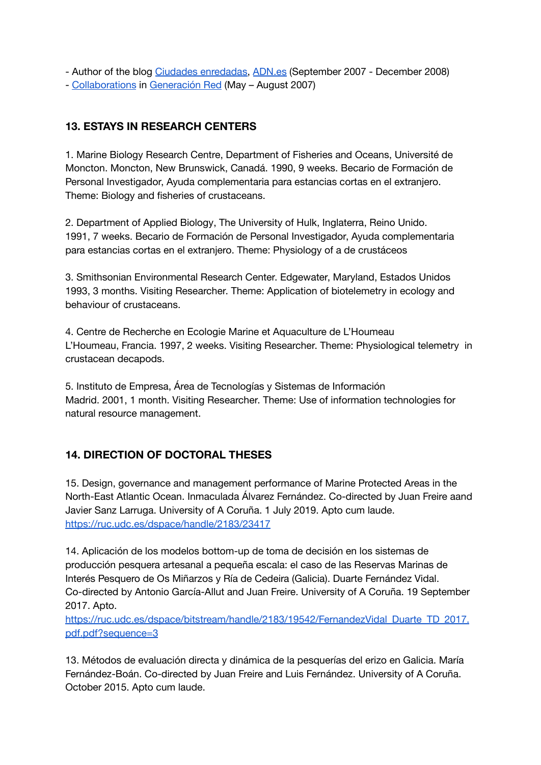- Author of the blog Ciudades [enredadas,](http://www.adn.es/blog/ciudades_enredadas/) [ADN.es](http://www.adn.es/) (September 2007 - December 2008)

- [Collaborations](http://www.generacionred.net/author/juanfreire) in [Generación](http://www.generacionred.net/) Red (May – August 2007)

# <span id="page-38-0"></span>**13. ESTAYS IN RESEARCH CENTERS**

1. Marine Biology Research Centre, Department of Fisheries and Oceans, Université de Moncton. Moncton, New Brunswick, Canadá. 1990, 9 weeks. Becario de Formación de Personal Investigador, Ayuda complementaria para estancias cortas en el extranjero. Theme: Biology and fisheries of crustaceans.

2. Department of Applied Biology, The University of Hulk, Inglaterra, Reino Unido. 1991, 7 weeks. Becario de Formación de Personal Investigador, Ayuda complementaria para estancias cortas en el extranjero. Theme: Physiology of a de crustáceos

3. Smithsonian Environmental Research Center. Edgewater, Maryland, Estados Unidos 1993, 3 months. Visiting Researcher. Theme: Application of biotelemetry in ecology and behaviour of crustaceans.

4. Centre de Recherche en Ecologie Marine et Aquaculture de L'Houmeau L'Houmeau, Francia. 1997, 2 weeks. Visiting Researcher. Theme: Physiological telemetry in crustacean decapods.

5. Instituto de Empresa, Área de Tecnologías y Sistemas de Información Madrid. 2001, 1 month. Visiting Researcher. Theme: Use of information technologies for natural resource management.

# <span id="page-38-1"></span>**14. DIRECTION OF DOCTORAL THESES**

15. Design, governance and management performance of Marine Protected Areas in the North-East Atlantic Ocean. Inmaculada Álvarez Fernández. Co-directed by Juan Freire aand Javier Sanz Larruga. University of A Coruña. 1 July 2019. Apto cum laude. <https://ruc.udc.es/dspace/handle/2183/23417>

14. Aplicación de los modelos bottom-up de toma de decisión en los sistemas de producción pesquera artesanal a pequeña escala: el caso de las Reservas Marinas de Interés Pesquero de Os Miñarzos y Ría de Cedeira (Galicia). Duarte Fernández Vidal. Co-directed by Antonio García-Allut and Juan Freire. University of A Coruña. 19 September 2017. Apto.

[https://ruc.udc.es/dspace/bitstream/handle/2183/19542/FernandezVidal\\_Duarte\\_TD\\_2017.](https://ruc.udc.es/dspace/bitstream/handle/2183/19542/FernandezVidal_Duarte_TD_2017.pdf.pdf?sequence=3) [pdf.pdf?sequence=3](https://ruc.udc.es/dspace/bitstream/handle/2183/19542/FernandezVidal_Duarte_TD_2017.pdf.pdf?sequence=3)

13. Métodos de evaluación directa y dinámica de la pesquerías del erizo en Galicia. María Fernández-Boán. Co-directed by Juan Freire and Luis Fernández. University of A Coruña. October 2015. Apto cum laude.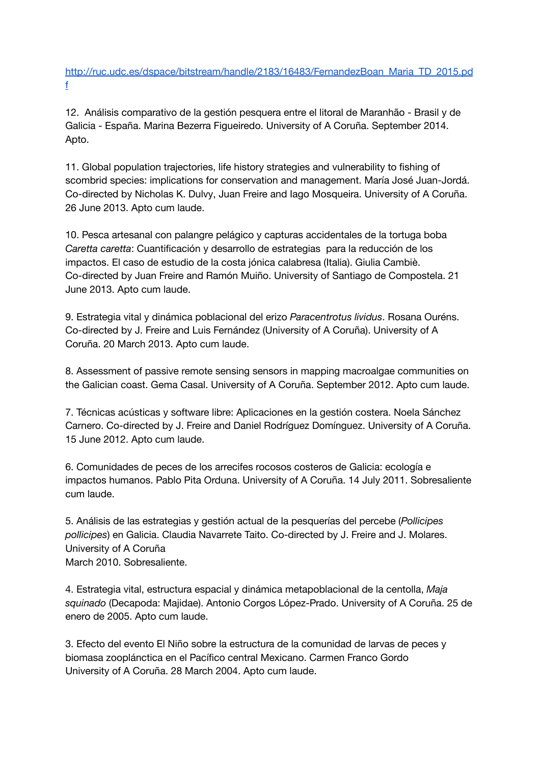[http://ruc.udc.es/dspace/bitstream/handle/2183/16483/FernandezBoan\\_Maria\\_TD\\_2015.pd](http://ruc.udc.es/dspace/bitstream/handle/2183/16483/FernandezBoan_Maria_TD_2015.pdf) [f](http://ruc.udc.es/dspace/bitstream/handle/2183/16483/FernandezBoan_Maria_TD_2015.pdf)

12. Análisis comparativo de la gestión pesquera entre el litoral de Maranhão - Brasil y de Galicia - España. Marina Bezerra Figueiredo. University of A Coruña. September 2014. Apto.

11. Global population trajectories, life history strategies and vulnerability to fishing of scombrid species: implications for conservation and management. María José Juan-Jordá. Co-directed by Nicholas K. Dulvy, Juan Freire and Iago Mosqueira. University of A Coruña. 26 June 2013. Apto cum laude.

10. Pesca artesanal con palangre pelágico y capturas accidentales de la tortuga boba *Caretta caretta*: Cuantificación y desarrollo de estrategias para la reducción de los impactos. El caso de estudio de la costa jónica calabresa (Italia). Giulia Cambiè. Co-directed by Juan Freire and Ramón Muiño. University of Santiago de Compostela. 21 June 2013. Apto cum laude.

9. Estrategia vital y dinámica poblacional del erizo *Paracentrotus lividus*. Rosana Ouréns. Co-directed by J. Freire and Luis Fernández (University of A Coruña). University of A Coruña. 20 March 2013. Apto cum laude.

8. Assessment of passive remote sensing sensors in mapping macroalgae communities on the Galician coast. Gema Casal. University of A Coruña. September 2012. Apto cum laude.

7. Técnicas acústicas y software libre: Aplicaciones en la gestión costera. Noela Sánchez Carnero. Co-directed by J. Freire and Daniel Rodríguez Domínguez. University of A Coruña. 15 June 2012. Apto cum laude.

6. Comunidades de peces de los arrecifes rocosos costeros de Galicia: ecología e impactos humanos. Pablo Pita Orduna. University of A Coruña. 14 July 2011. Sobresaliente cum laude.

5. Análisis de las estrategias y gestión actual de la pesquerías del percebe (*Pollicipes pollicipes*) en Galicia. Claudia Navarrete Taito. Co-directed by J. Freire and J. Molares. University of A Coruña March 2010. Sobresaliente.

4. Estrategia vital, estructura espacial y dinámica metapoblacional de la centolla, *Maja squinado* (Decapoda: Majidae). Antonio Corgos López-Prado. University of A Coruña. 25 de enero de 2005. Apto cum laude.

3. Efecto del evento El Niño sobre la estructura de la comunidad de larvas de peces y biomasa zooplánctica en el Pacífico central Mexicano. Carmen Franco Gordo University of A Coruña. 28 March 2004. Apto cum laude.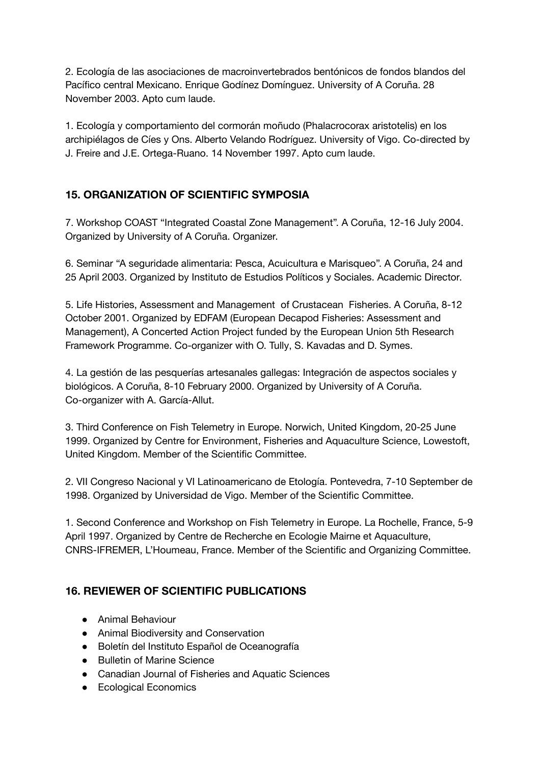2. Ecología de las asociaciones de macroinvertebrados bentónicos de fondos blandos del Pacífico central Mexicano. Enrique Godínez Domínguez. University of A Coruña. 28 November 2003. Apto cum laude.

1. Ecología y comportamiento del cormorán moñudo (Phalacrocorax aristotelis) en los archipiélagos de Cíes y Ons. Alberto Velando Rodríguez. University of Vigo. Co-directed by J. Freire and J.E. Ortega-Ruano. 14 November 1997. Apto cum laude.

# <span id="page-40-0"></span>**15. ORGANIZATION OF SCIENTIFIC SYMPOSIA**

7. Workshop COAST "Integrated Coastal Zone Management". A Coruña, 12-16 July 2004. Organized by University of A Coruña. Organizer.

6. Seminar "A seguridade alimentaria: Pesca, Acuicultura e Marisqueo". A Coruña, 24 and 25 April 2003. Organized by Instituto de Estudios Políticos y Sociales. Academic Director.

5. Life Histories, Assessment and Management of Crustacean Fisheries. A Coruña, 8-12 October 2001. Organized by EDFAM (European Decapod Fisheries: Assessment and Management), A Concerted Action Project funded by the European Union 5th Research Framework Programme. Co-organizer with O. Tully, S. Kavadas and D. Symes.

4. La gestión de las pesquerías artesanales gallegas: Integración de aspectos sociales y biológicos. A Coruña, 8-10 February 2000. Organized by University of A Coruña. Co-organizer with A. García-Allut.

3. Third Conference on Fish Telemetry in Europe. Norwich, United Kingdom, 20-25 June 1999. Organized by Centre for Environment, Fisheries and Aquaculture Science, Lowestoft, United Kingdom. Member of the Scientific Committee.

2. VII Congreso Nacional y VI Latinoamericano de Etología. Pontevedra, 7-10 September de 1998. Organized by Universidad de Vigo. Member of the Scientific Committee.

1. Second Conference and Workshop on Fish Telemetry in Europe. La Rochelle, France, 5-9 April 1997. Organized by Centre de Recherche en Ecologie Mairne et Aquaculture, CNRS-IFREMER, L'Houmeau, France. Member of the Scientific and Organizing Committee.

# <span id="page-40-1"></span>**16. REVIEWER OF SCIENTIFIC PUBLICATIONS**

- Animal Behaviour
- Animal Biodiversity and Conservation
- Boletín del Instituto Español de Oceanografía
- Bulletin of Marine Science
- Canadian Journal of Fisheries and Aquatic Sciences
- Ecological Economics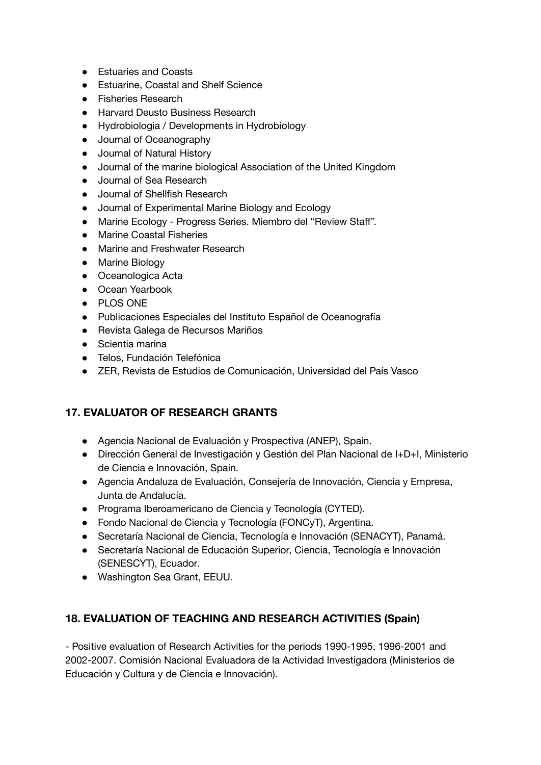- Estuaries and Coasts
- Estuarine, Coastal and Shelf Science
- Fisheries Research
- Harvard Deusto Business Research
- Hydrobiologia / Developments in Hydrobiology
- Journal of Oceanography
- Journal of Natural History
- Journal of the marine biological Association of the United Kingdom
- Journal of Sea Research
- Journal of Shellfish Research
- Journal of Experimental Marine Biology and Ecology
- Marine Ecology Progress Series. Miembro del "Review Staff".
- Marine Coastal Fisheries
- Marine and Freshwater Research
- Marine Biology
- Oceanologica Acta
- Ocean Yearbook
- PLOS ONE
- Publicaciones Especiales del Instituto Español de Oceanografía
- Revista Galega de Recursos Mariños
- Scientia marina
- Telos, Fundación Telefónica
- ZER, Revista de Estudios de Comunicación, Universidad del País Vasco

### <span id="page-41-0"></span>**17. EVALUATOR OF RESEARCH GRANTS**

- Agencia Nacional de Evaluación y Prospectiva (ANEP), Spain.
- Dirección General de Investigación y Gestión del Plan Nacional de I+D+I, Ministerio de Ciencia e Innovación, Spain.
- Agencia Andaluza de Evaluación, Consejería de Innovación, Ciencia y Empresa, Junta de Andalucía.
- Programa Iberoamericano de Ciencia y Tecnología (CYTED).
- Fondo Nacional de Ciencia y Tecnología (FONCyT), Argentina.
- Secretaría Nacional de Ciencia, Tecnología e Innovación (SENACYT), Panamá.
- Secretaría Nacional de Educación Superior, Ciencia, Tecnología e Innovación (SENESCYT), Ecuador.
- Washington Sea Grant, EEUU.

### <span id="page-41-1"></span>**18. EVALUATION OF TEACHING AND RESEARCH ACTIVITIES (Spain)**

- Positive evaluation of Research Activities for the periods 1990-1995, 1996-2001 and 2002-2007. Comisión Nacional Evaluadora de la Actividad Investigadora (Ministerios de Educación y Cultura y de Ciencia e Innovación).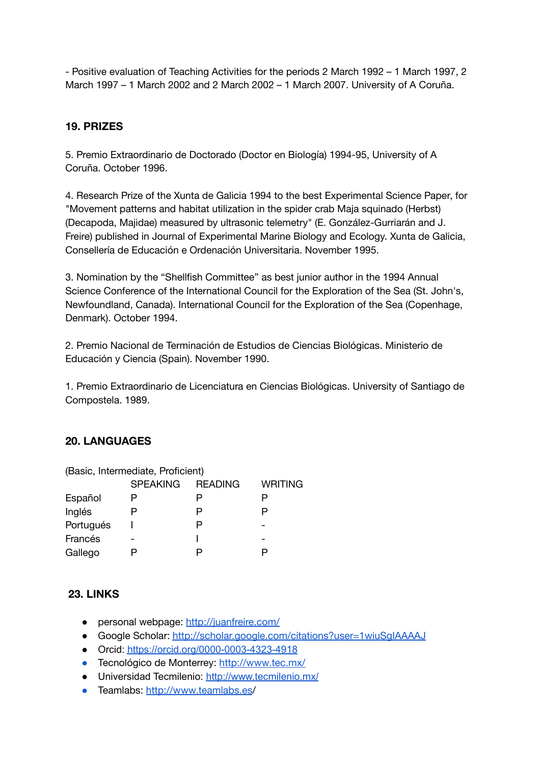- Positive evaluation of Teaching Activities for the periods 2 March 1992 – 1 March 1997, 2 March 1997 – 1 March 2002 and 2 March 2002 – 1 March 2007. University of A Coruña.

### <span id="page-42-0"></span>**19. PRIZES**

5. Premio Extraordinario de Doctorado (Doctor en Biología) 1994-95, University of A Coruña. October 1996.

4. Research Prize of the Xunta de Galicia 1994 to the best Experimental Science Paper, for "Movement patterns and habitat utilization in the spider crab Maja squinado (Herbst) (Decapoda, Majidae) measured by ultrasonic telemetry" (E. González-Gurriarán and J. Freire) published in Journal of Experimental Marine Biology and Ecology. Xunta de Galicia, Consellería de Educación e Ordenación Universitaria. November 1995.

3. Nomination by the "Shellfish Committee" as best junior author in the 1994 Annual Science Conference of the International Council for the Exploration of the Sea (St. John's, Newfoundland, Canada). International Council for the Exploration of the Sea (Copenhage, Denmark). October 1994.

2. Premio Nacional de Terminación de Estudios de Ciencias Biológicas. Ministerio de Educación y Ciencia (Spain). November 1990.

1. Premio Extraordinario de Licenciatura en Ciencias Biológicas. University of Santiago de Compostela. 1989.

### <span id="page-42-1"></span>**20. LANGUAGES**

| (Basic, Intermediate, Proficient) |                 |                |                |
|-----------------------------------|-----------------|----------------|----------------|
|                                   | <b>SPEAKING</b> | <b>READING</b> | <b>WRITING</b> |
| Español                           |                 | Ρ              | Р              |
| Inglés                            |                 | P              | P              |
| Portugués                         |                 | P              |                |
| Francés                           |                 |                |                |
| Gallego                           |                 |                |                |

### <span id="page-42-2"></span>**23. LINKS**

- personal webpage: <http://juanfreire.com/>
- Google Scholar: <http://scholar.google.com/citations?user=1wiuSgIAAAAJ>
- Orcid: <https://orcid.org/0000-0003-4323-4918>
- Tecnológico de Monterrey: <http://www.tec.mx/>
- Universidad Tecmilenio: <http://www.tecmilenio.mx/>
- Teamlabs: <http://www.teamlabs.es>/